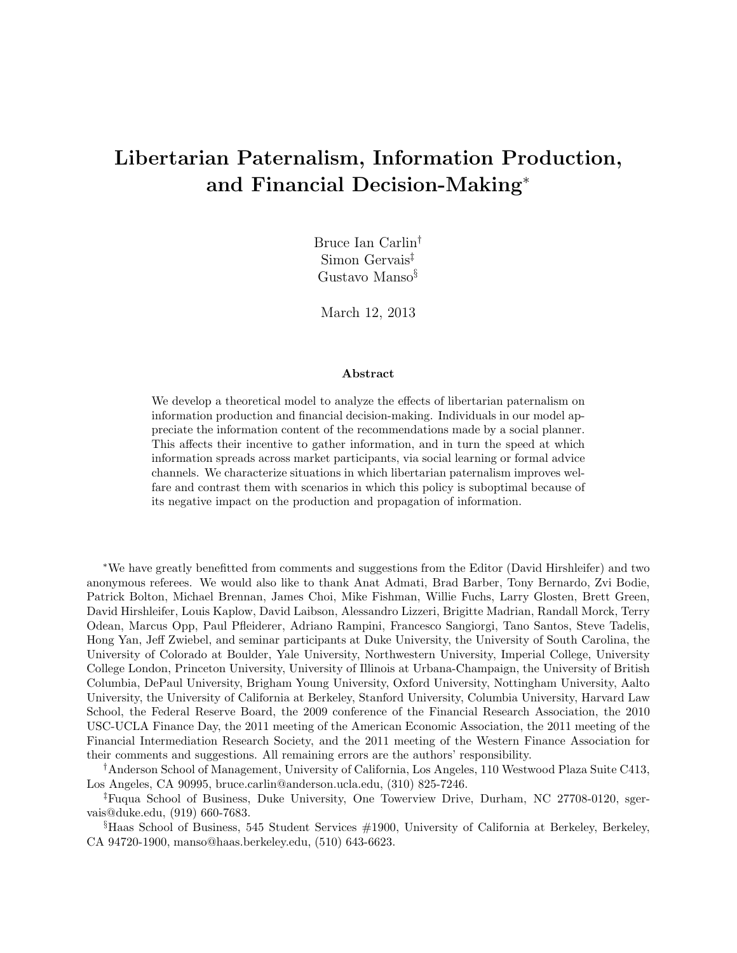# Libertarian Paternalism, Information Production, and Financial Decision-Making<sup>∗</sup>

Bruce Ian Carlin† Simon Gervais‡ Gustavo Manso§

March 12, 2013

#### Abstract

We develop a theoretical model to analyze the effects of libertarian paternalism on information production and financial decision-making. Individuals in our model appreciate the information content of the recommendations made by a social planner. This affects their incentive to gather information, and in turn the speed at which information spreads across market participants, via social learning or formal advice channels. We characterize situations in which libertarian paternalism improves welfare and contrast them with scenarios in which this policy is suboptimal because of its negative impact on the production and propagation of information.

<sup>∗</sup>We have greatly benefitted from comments and suggestions from the Editor (David Hirshleifer) and two anonymous referees. We would also like to thank Anat Admati, Brad Barber, Tony Bernardo, Zvi Bodie, Patrick Bolton, Michael Brennan, James Choi, Mike Fishman, Willie Fuchs, Larry Glosten, Brett Green, David Hirshleifer, Louis Kaplow, David Laibson, Alessandro Lizzeri, Brigitte Madrian, Randall Morck, Terry Odean, Marcus Opp, Paul Pfleiderer, Adriano Rampini, Francesco Sangiorgi, Tano Santos, Steve Tadelis, Hong Yan, Jeff Zwiebel, and seminar participants at Duke University, the University of South Carolina, the University of Colorado at Boulder, Yale University, Northwestern University, Imperial College, University College London, Princeton University, University of Illinois at Urbana-Champaign, the University of British Columbia, DePaul University, Brigham Young University, Oxford University, Nottingham University, Aalto University, the University of California at Berkeley, Stanford University, Columbia University, Harvard Law School, the Federal Reserve Board, the 2009 conference of the Financial Research Association, the 2010 USC-UCLA Finance Day, the 2011 meeting of the American Economic Association, the 2011 meeting of the Financial Intermediation Research Society, and the 2011 meeting of the Western Finance Association for their comments and suggestions. All remaining errors are the authors' responsibility.

†Anderson School of Management, University of California, Los Angeles, 110 Westwood Plaza Suite C413, Los Angeles, CA 90995, bruce.carlin@anderson.ucla.edu, (310) 825-7246.

‡Fuqua School of Business, Duke University, One Towerview Drive, Durham, NC 27708-0120, sgervais@duke.edu, (919) 660-7683.

§Haas School of Business, 545 Student Services #1900, University of California at Berkeley, Berkeley, CA 94720-1900, manso@haas.berkeley.edu, (510) 643-6623.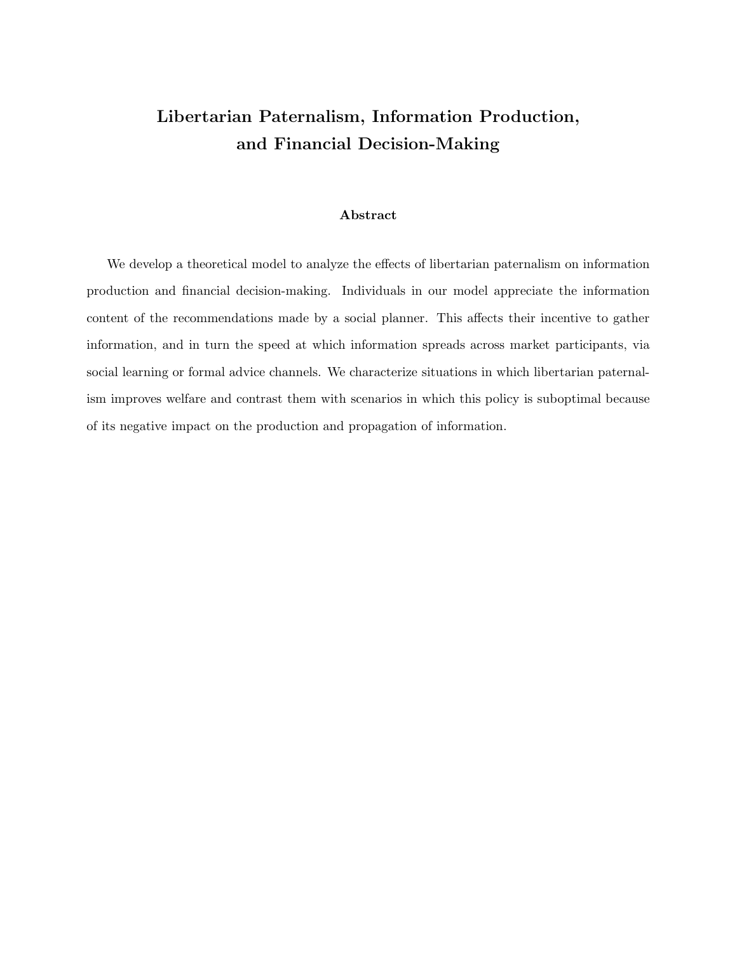# Libertarian Paternalism, Information Production, and Financial Decision-Making

### Abstract

We develop a theoretical model to analyze the effects of libertarian paternalism on information production and financial decision-making. Individuals in our model appreciate the information content of the recommendations made by a social planner. This affects their incentive to gather information, and in turn the speed at which information spreads across market participants, via social learning or formal advice channels. We characterize situations in which libertarian paternalism improves welfare and contrast them with scenarios in which this policy is suboptimal because of its negative impact on the production and propagation of information.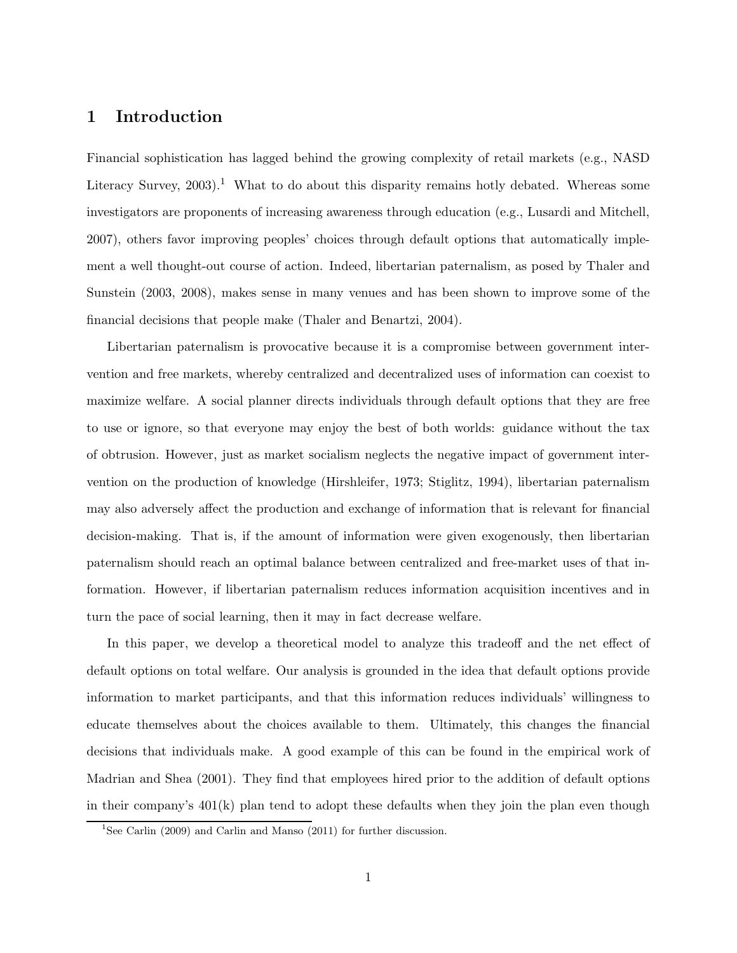# 1 Introduction

Financial sophistication has lagged behind the growing complexity of retail markets (e.g., NASD Literacy Survey,  $2003$ ).<sup>1</sup> What to do about this disparity remains hotly debated. Whereas some investigators are proponents of increasing awareness through education (e.g., Lusardi and Mitchell, 2007), others favor improving peoples' choices through default options that automatically implement a well thought-out course of action. Indeed, libertarian paternalism, as posed by Thaler and Sunstein (2003, 2008), makes sense in many venues and has been shown to improve some of the financial decisions that people make (Thaler and Benartzi, 2004).

Libertarian paternalism is provocative because it is a compromise between government intervention and free markets, whereby centralized and decentralized uses of information can coexist to maximize welfare. A social planner directs individuals through default options that they are free to use or ignore, so that everyone may enjoy the best of both worlds: guidance without the tax of obtrusion. However, just as market socialism neglects the negative impact of government intervention on the production of knowledge (Hirshleifer, 1973; Stiglitz, 1994), libertarian paternalism may also adversely affect the production and exchange of information that is relevant for financial decision-making. That is, if the amount of information were given exogenously, then libertarian paternalism should reach an optimal balance between centralized and free-market uses of that information. However, if libertarian paternalism reduces information acquisition incentives and in turn the pace of social learning, then it may in fact decrease welfare.

In this paper, we develop a theoretical model to analyze this tradeoff and the net effect of default options on total welfare. Our analysis is grounded in the idea that default options provide information to market participants, and that this information reduces individuals' willingness to educate themselves about the choices available to them. Ultimately, this changes the financial decisions that individuals make. A good example of this can be found in the empirical work of Madrian and Shea (2001). They find that employees hired prior to the addition of default options in their company's 401(k) plan tend to adopt these defaults when they join the plan even though

<sup>&</sup>lt;sup>1</sup>See Carlin (2009) and Carlin and Manso (2011) for further discussion.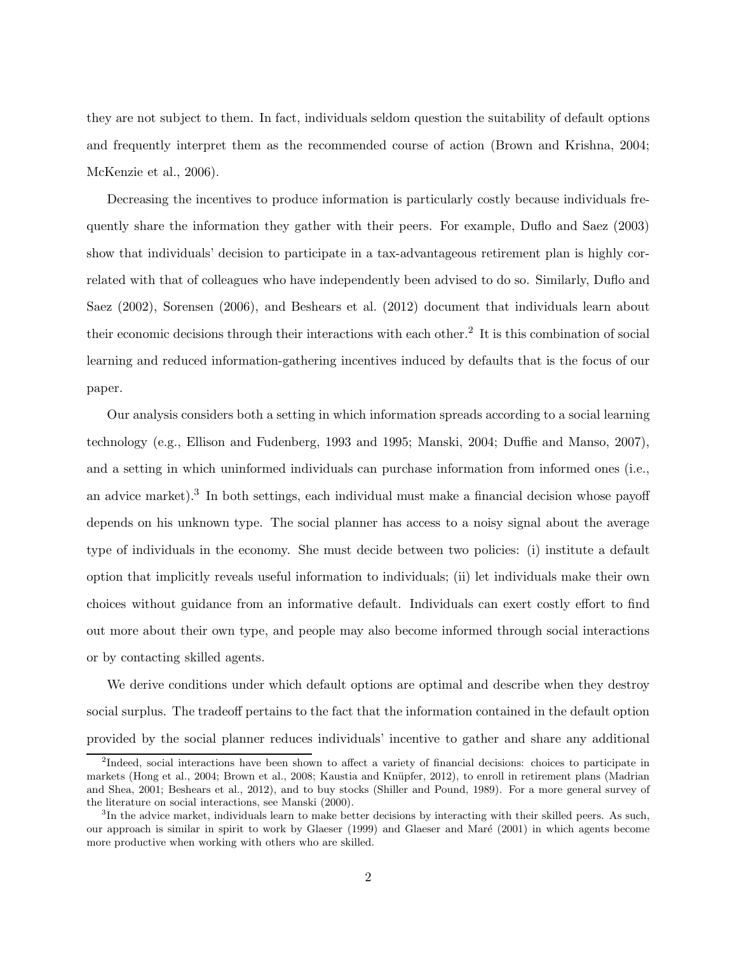they are not subject to them. In fact, individuals seldom question the suitability of default options and frequently interpret them as the recommended course of action (Brown and Krishna, 2004; McKenzie et al., 2006).

Decreasing the incentives to produce information is particularly costly because individuals frequently share the information they gather with their peers. For example, Duflo and Saez (2003) show that individuals' decision to participate in a tax-advantageous retirement plan is highly correlated with that of colleagues who have independently been advised to do so. Similarly, Duflo and Saez (2002), Sorensen (2006), and Beshears et al. (2012) document that individuals learn about their economic decisions through their interactions with each other.<sup>2</sup> It is this combination of social learning and reduced information-gathering incentives induced by defaults that is the focus of our paper.

Our analysis considers both a setting in which information spreads according to a social learning technology (e.g., Ellison and Fudenberg, 1993 and 1995; Manski, 2004; Duffie and Manso, 2007), and a setting in which uninformed individuals can purchase information from informed ones (i.e., an advice market).<sup>3</sup> In both settings, each individual must make a financial decision whose payoff depends on his unknown type. The social planner has access to a noisy signal about the average type of individuals in the economy. She must decide between two policies: (i) institute a default option that implicitly reveals useful information to individuals; (ii) let individuals make their own choices without guidance from an informative default. Individuals can exert costly effort to find out more about their own type, and people may also become informed through social interactions or by contacting skilled agents.

We derive conditions under which default options are optimal and describe when they destroy social surplus. The tradeoff pertains to the fact that the information contained in the default option provided by the social planner reduces individuals' incentive to gather and share any additional

<sup>&</sup>lt;sup>2</sup>Indeed, social interactions have been shown to affect a variety of financial decisions: choices to participate in markets (Hong et al., 2004; Brown et al., 2008; Kaustia and Knüpfer, 2012), to enroll in retirement plans (Madrian and Shea, 2001; Beshears et al., 2012), and to buy stocks (Shiller and Pound, 1989). For a more general survey of the literature on social interactions, see Manski (2000).

<sup>&</sup>lt;sup>3</sup>In the advice market, individuals learn to make better decisions by interacting with their skilled peers. As such, our approach is similar in spirit to work by Glaeser (1999) and Glaeser and Maré (2001) in which agents become more productive when working with others who are skilled.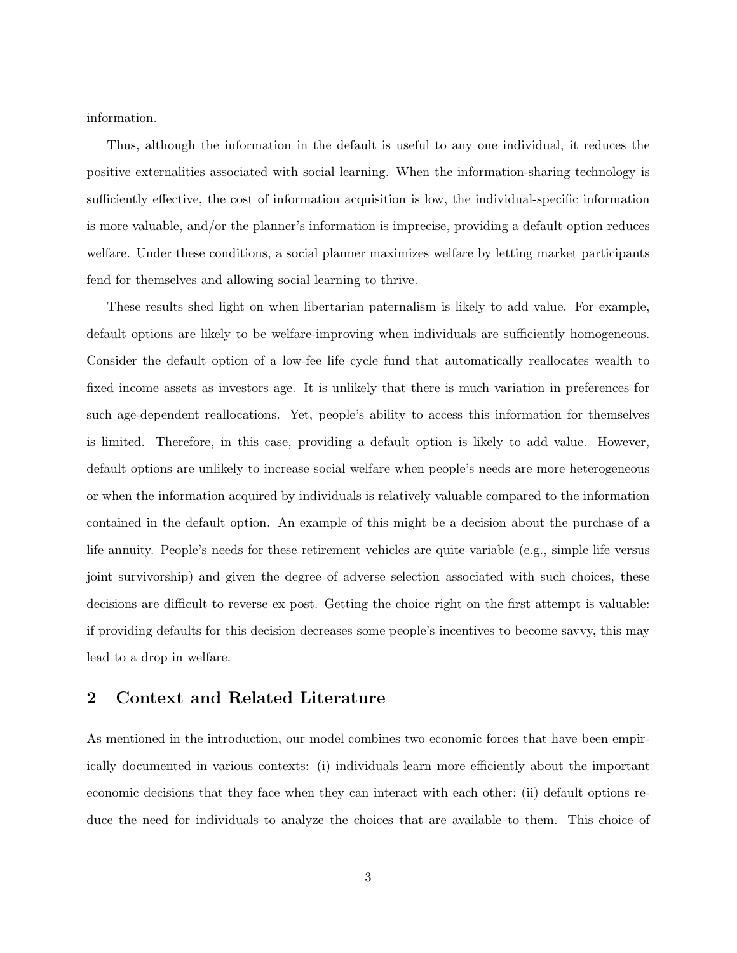information.

Thus, although the information in the default is useful to any one individual, it reduces the positive externalities associated with social learning. When the information-sharing technology is sufficiently effective, the cost of information acquisition is low, the individual-specific information is more valuable, and/or the planner's information is imprecise, providing a default option reduces welfare. Under these conditions, a social planner maximizes welfare by letting market participants fend for themselves and allowing social learning to thrive.

These results shed light on when libertarian paternalism is likely to add value. For example, default options are likely to be welfare-improving when individuals are sufficiently homogeneous. Consider the default option of a low-fee life cycle fund that automatically reallocates wealth to fixed income assets as investors age. It is unlikely that there is much variation in preferences for such age-dependent reallocations. Yet, people's ability to access this information for themselves is limited. Therefore, in this case, providing a default option is likely to add value. However, default options are unlikely to increase social welfare when people's needs are more heterogeneous or when the information acquired by individuals is relatively valuable compared to the information contained in the default option. An example of this might be a decision about the purchase of a life annuity. People's needs for these retirement vehicles are quite variable (e.g., simple life versus joint survivorship) and given the degree of adverse selection associated with such choices, these decisions are difficult to reverse ex post. Getting the choice right on the first attempt is valuable: if providing defaults for this decision decreases some people's incentives to become savvy, this may lead to a drop in welfare.

# 2 Context and Related Literature

As mentioned in the introduction, our model combines two economic forces that have been empirically documented in various contexts: (i) individuals learn more efficiently about the important economic decisions that they face when they can interact with each other; (ii) default options reduce the need for individuals to analyze the choices that are available to them. This choice of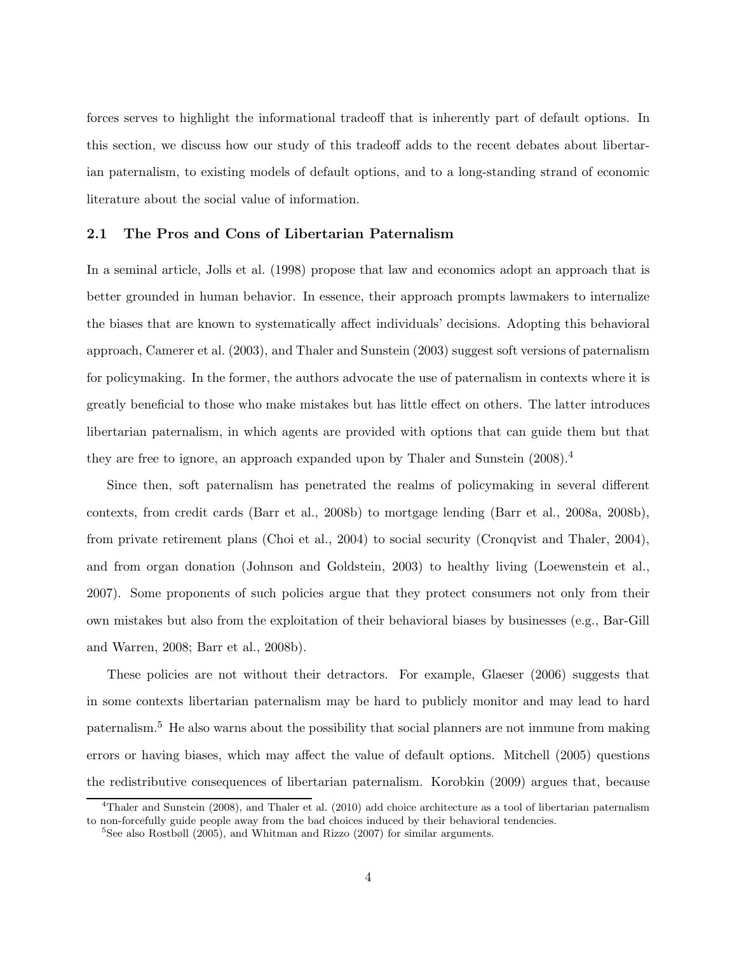forces serves to highlight the informational tradeoff that is inherently part of default options. In this section, we discuss how our study of this tradeoff adds to the recent debates about libertarian paternalism, to existing models of default options, and to a long-standing strand of economic literature about the social value of information.

#### 2.1 The Pros and Cons of Libertarian Paternalism

In a seminal article, Jolls et al. (1998) propose that law and economics adopt an approach that is better grounded in human behavior. In essence, their approach prompts lawmakers to internalize the biases that are known to systematically affect individuals' decisions. Adopting this behavioral approach, Camerer et al. (2003), and Thaler and Sunstein (2003) suggest soft versions of paternalism for policymaking. In the former, the authors advocate the use of paternalism in contexts where it is greatly beneficial to those who make mistakes but has little effect on others. The latter introduces libertarian paternalism, in which agents are provided with options that can guide them but that they are free to ignore, an approach expanded upon by Thaler and Sunstein (2008).<sup>4</sup>

Since then, soft paternalism has penetrated the realms of policymaking in several different contexts, from credit cards (Barr et al., 2008b) to mortgage lending (Barr et al., 2008a, 2008b), from private retirement plans (Choi et al., 2004) to social security (Cronqvist and Thaler, 2004), and from organ donation (Johnson and Goldstein, 2003) to healthy living (Loewenstein et al., 2007). Some proponents of such policies argue that they protect consumers not only from their own mistakes but also from the exploitation of their behavioral biases by businesses (e.g., Bar-Gill and Warren, 2008; Barr et al., 2008b).

These policies are not without their detractors. For example, Glaeser (2006) suggests that in some contexts libertarian paternalism may be hard to publicly monitor and may lead to hard paternalism.<sup>5</sup> He also warns about the possibility that social planners are not immune from making errors or having biases, which may affect the value of default options. Mitchell (2005) questions the redistributive consequences of libertarian paternalism. Korobkin (2009) argues that, because

<sup>4</sup>Thaler and Sunstein (2008), and Thaler et al. (2010) add choice architecture as a tool of libertarian paternalism to non-forcefully guide people away from the bad choices induced by their behavioral tendencies.

 $5$ See also Rostbøll (2005), and Whitman and Rizzo (2007) for similar arguments.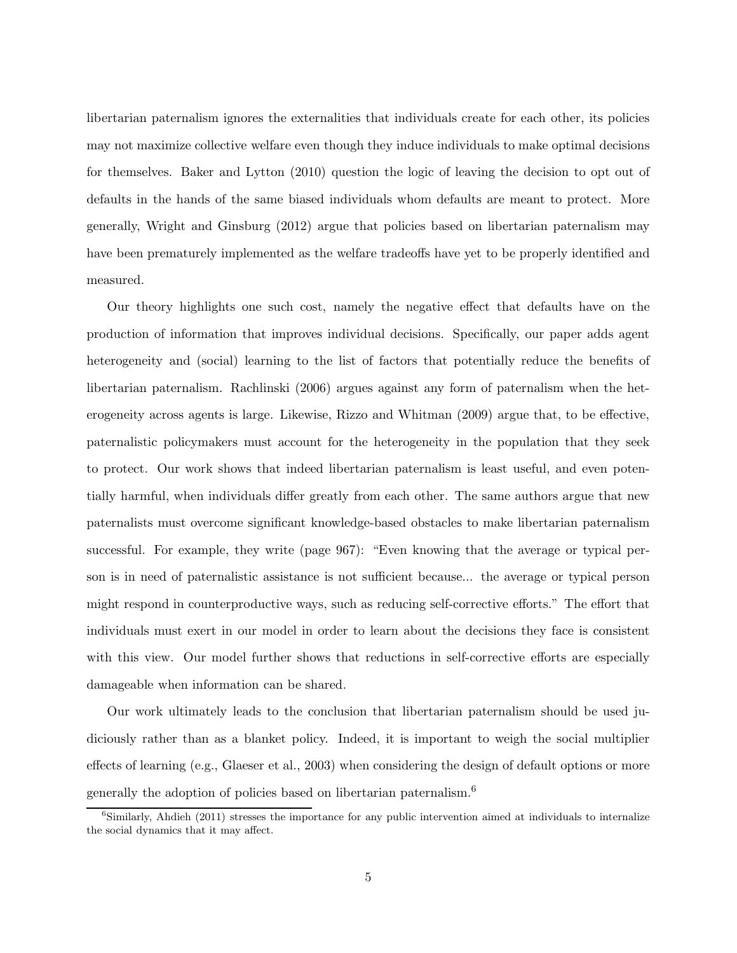libertarian paternalism ignores the externalities that individuals create for each other, its policies may not maximize collective welfare even though they induce individuals to make optimal decisions for themselves. Baker and Lytton (2010) question the logic of leaving the decision to opt out of defaults in the hands of the same biased individuals whom defaults are meant to protect. More generally, Wright and Ginsburg (2012) argue that policies based on libertarian paternalism may have been prematurely implemented as the welfare tradeoffs have yet to be properly identified and measured.

Our theory highlights one such cost, namely the negative effect that defaults have on the production of information that improves individual decisions. Specifically, our paper adds agent heterogeneity and (social) learning to the list of factors that potentially reduce the benefits of libertarian paternalism. Rachlinski (2006) argues against any form of paternalism when the heterogeneity across agents is large. Likewise, Rizzo and Whitman (2009) argue that, to be effective, paternalistic policymakers must account for the heterogeneity in the population that they seek to protect. Our work shows that indeed libertarian paternalism is least useful, and even potentially harmful, when individuals differ greatly from each other. The same authors argue that new paternalists must overcome significant knowledge-based obstacles to make libertarian paternalism successful. For example, they write (page 967): "Even knowing that the average or typical person is in need of paternalistic assistance is not sufficient because... the average or typical person might respond in counterproductive ways, such as reducing self-corrective efforts." The effort that individuals must exert in our model in order to learn about the decisions they face is consistent with this view. Our model further shows that reductions in self-corrective efforts are especially damageable when information can be shared.

Our work ultimately leads to the conclusion that libertarian paternalism should be used judiciously rather than as a blanket policy. Indeed, it is important to weigh the social multiplier effects of learning (e.g., Glaeser et al., 2003) when considering the design of default options or more generally the adoption of policies based on libertarian paternalism.<sup>6</sup>

 ${}^{6}$ Similarly, Ahdieh (2011) stresses the importance for any public intervention aimed at individuals to internalize the social dynamics that it may affect.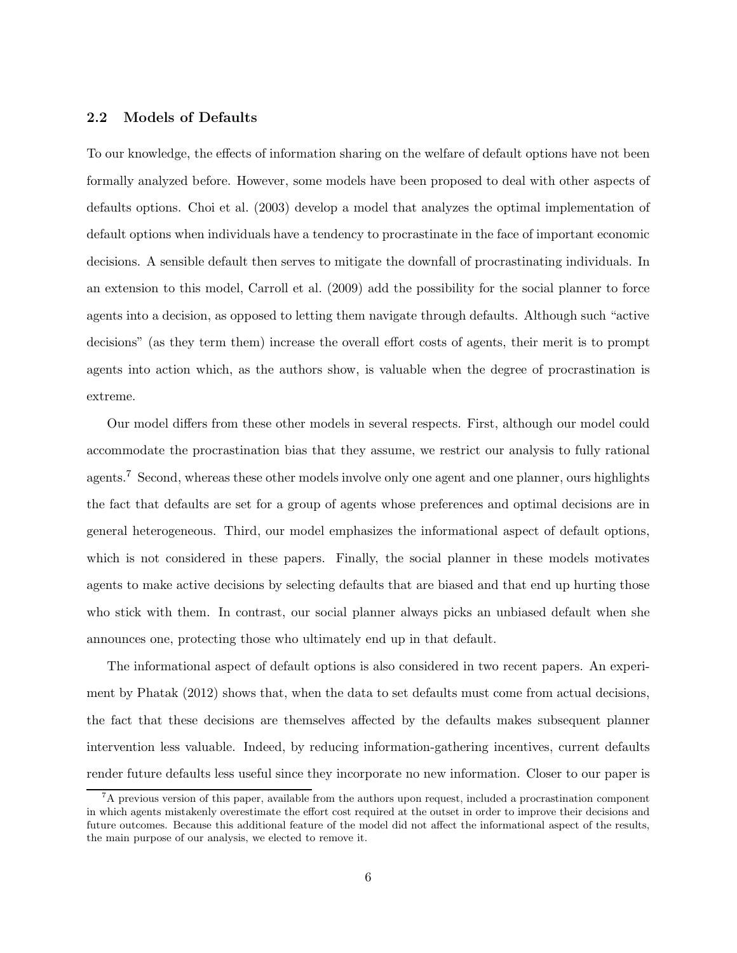## 2.2 Models of Defaults

To our knowledge, the effects of information sharing on the welfare of default options have not been formally analyzed before. However, some models have been proposed to deal with other aspects of defaults options. Choi et al. (2003) develop a model that analyzes the optimal implementation of default options when individuals have a tendency to procrastinate in the face of important economic decisions. A sensible default then serves to mitigate the downfall of procrastinating individuals. In an extension to this model, Carroll et al. (2009) add the possibility for the social planner to force agents into a decision, as opposed to letting them navigate through defaults. Although such "active decisions" (as they term them) increase the overall effort costs of agents, their merit is to prompt agents into action which, as the authors show, is valuable when the degree of procrastination is extreme.

Our model differs from these other models in several respects. First, although our model could accommodate the procrastination bias that they assume, we restrict our analysis to fully rational agents.<sup>7</sup> Second, whereas these other models involve only one agent and one planner, ours highlights the fact that defaults are set for a group of agents whose preferences and optimal decisions are in general heterogeneous. Third, our model emphasizes the informational aspect of default options, which is not considered in these papers. Finally, the social planner in these models motivates agents to make active decisions by selecting defaults that are biased and that end up hurting those who stick with them. In contrast, our social planner always picks an unbiased default when she announces one, protecting those who ultimately end up in that default.

The informational aspect of default options is also considered in two recent papers. An experiment by Phatak (2012) shows that, when the data to set defaults must come from actual decisions, the fact that these decisions are themselves affected by the defaults makes subsequent planner intervention less valuable. Indeed, by reducing information-gathering incentives, current defaults render future defaults less useful since they incorporate no new information. Closer to our paper is

<sup>&</sup>lt;sup>7</sup>A previous version of this paper, available from the authors upon request, included a procrastination component in which agents mistakenly overestimate the effort cost required at the outset in order to improve their decisions and future outcomes. Because this additional feature of the model did not affect the informational aspect of the results, the main purpose of our analysis, we elected to remove it.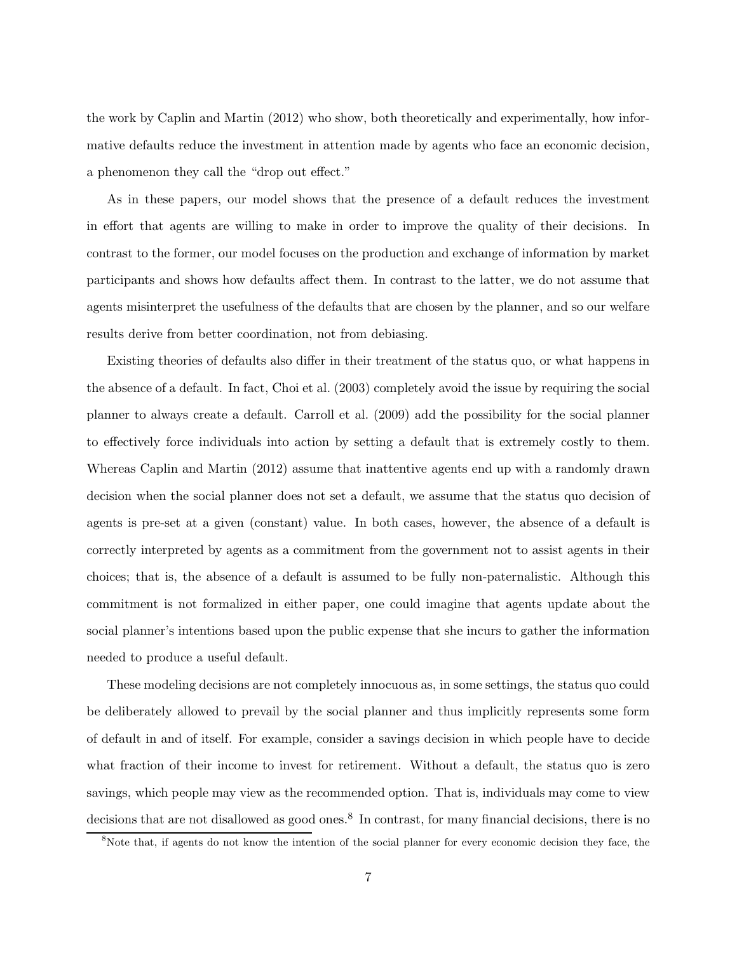the work by Caplin and Martin (2012) who show, both theoretically and experimentally, how informative defaults reduce the investment in attention made by agents who face an economic decision, a phenomenon they call the "drop out effect."

As in these papers, our model shows that the presence of a default reduces the investment in effort that agents are willing to make in order to improve the quality of their decisions. In contrast to the former, our model focuses on the production and exchange of information by market participants and shows how defaults affect them. In contrast to the latter, we do not assume that agents misinterpret the usefulness of the defaults that are chosen by the planner, and so our welfare results derive from better coordination, not from debiasing.

Existing theories of defaults also differ in their treatment of the status quo, or what happens in the absence of a default. In fact, Choi et al. (2003) completely avoid the issue by requiring the social planner to always create a default. Carroll et al. (2009) add the possibility for the social planner to effectively force individuals into action by setting a default that is extremely costly to them. Whereas Caplin and Martin (2012) assume that inattentive agents end up with a randomly drawn decision when the social planner does not set a default, we assume that the status quo decision of agents is pre-set at a given (constant) value. In both cases, however, the absence of a default is correctly interpreted by agents as a commitment from the government not to assist agents in their choices; that is, the absence of a default is assumed to be fully non-paternalistic. Although this commitment is not formalized in either paper, one could imagine that agents update about the social planner's intentions based upon the public expense that she incurs to gather the information needed to produce a useful default.

These modeling decisions are not completely innocuous as, in some settings, the status quo could be deliberately allowed to prevail by the social planner and thus implicitly represents some form of default in and of itself. For example, consider a savings decision in which people have to decide what fraction of their income to invest for retirement. Without a default, the status quo is zero savings, which people may view as the recommended option. That is, individuals may come to view decisions that are not disallowed as good ones.<sup>8</sup> In contrast, for many financial decisions, there is no

<sup>8</sup>Note that, if agents do not know the intention of the social planner for every economic decision they face, the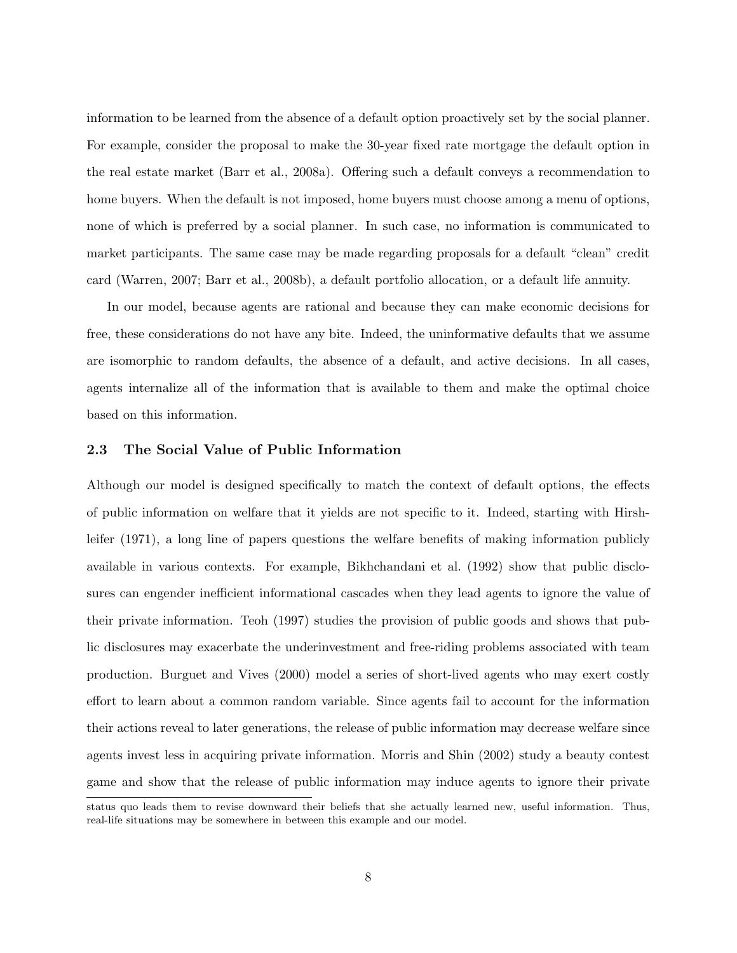information to be learned from the absence of a default option proactively set by the social planner. For example, consider the proposal to make the 30-year fixed rate mortgage the default option in the real estate market (Barr et al., 2008a). Offering such a default conveys a recommendation to home buyers. When the default is not imposed, home buyers must choose among a menu of options, none of which is preferred by a social planner. In such case, no information is communicated to market participants. The same case may be made regarding proposals for a default "clean" credit card (Warren, 2007; Barr et al., 2008b), a default portfolio allocation, or a default life annuity.

In our model, because agents are rational and because they can make economic decisions for free, these considerations do not have any bite. Indeed, the uninformative defaults that we assume are isomorphic to random defaults, the absence of a default, and active decisions. In all cases, agents internalize all of the information that is available to them and make the optimal choice based on this information.

### 2.3 The Social Value of Public Information

Although our model is designed specifically to match the context of default options, the effects of public information on welfare that it yields are not specific to it. Indeed, starting with Hirshleifer (1971), a long line of papers questions the welfare benefits of making information publicly available in various contexts. For example, Bikhchandani et al. (1992) show that public disclosures can engender inefficient informational cascades when they lead agents to ignore the value of their private information. Teoh (1997) studies the provision of public goods and shows that public disclosures may exacerbate the underinvestment and free-riding problems associated with team production. Burguet and Vives (2000) model a series of short-lived agents who may exert costly effort to learn about a common random variable. Since agents fail to account for the information their actions reveal to later generations, the release of public information may decrease welfare since agents invest less in acquiring private information. Morris and Shin (2002) study a beauty contest game and show that the release of public information may induce agents to ignore their private

status quo leads them to revise downward their beliefs that she actually learned new, useful information. Thus, real-life situations may be somewhere in between this example and our model.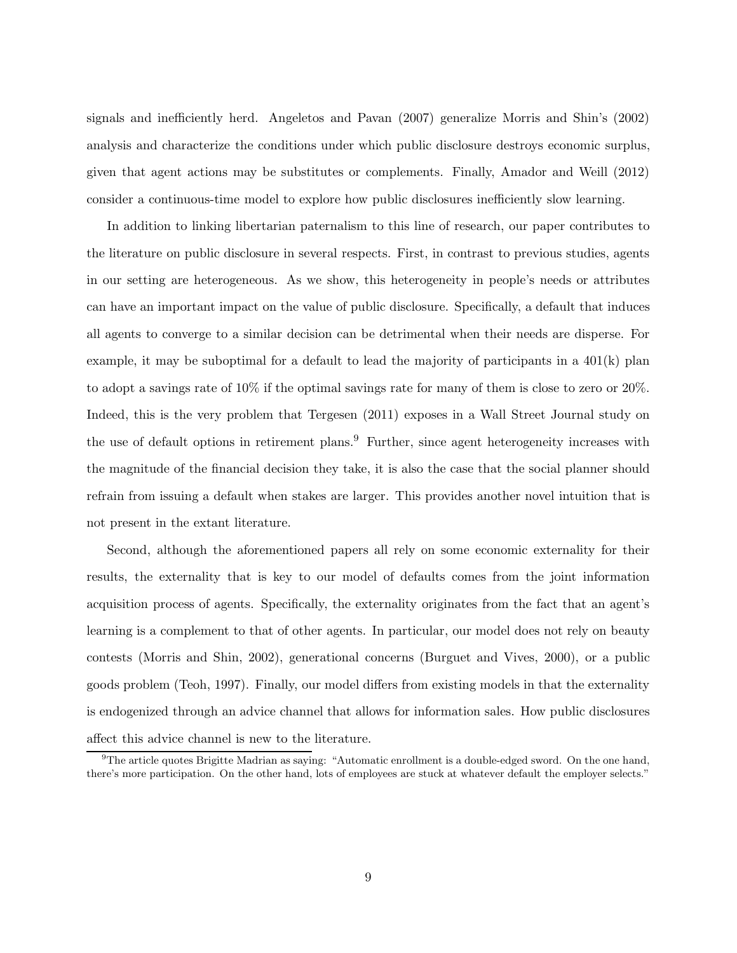signals and inefficiently herd. Angeletos and Pavan (2007) generalize Morris and Shin's (2002) analysis and characterize the conditions under which public disclosure destroys economic surplus, given that agent actions may be substitutes or complements. Finally, Amador and Weill (2012) consider a continuous-time model to explore how public disclosures inefficiently slow learning.

In addition to linking libertarian paternalism to this line of research, our paper contributes to the literature on public disclosure in several respects. First, in contrast to previous studies, agents in our setting are heterogeneous. As we show, this heterogeneity in people's needs or attributes can have an important impact on the value of public disclosure. Specifically, a default that induces all agents to converge to a similar decision can be detrimental when their needs are disperse. For example, it may be suboptimal for a default to lead the majority of participants in a  $401(k)$  plan to adopt a savings rate of 10% if the optimal savings rate for many of them is close to zero or 20%. Indeed, this is the very problem that Tergesen (2011) exposes in a Wall Street Journal study on the use of default options in retirement plans.<sup>9</sup> Further, since agent heterogeneity increases with the magnitude of the financial decision they take, it is also the case that the social planner should refrain from issuing a default when stakes are larger. This provides another novel intuition that is not present in the extant literature.

Second, although the aforementioned papers all rely on some economic externality for their results, the externality that is key to our model of defaults comes from the joint information acquisition process of agents. Specifically, the externality originates from the fact that an agent's learning is a complement to that of other agents. In particular, our model does not rely on beauty contests (Morris and Shin, 2002), generational concerns (Burguet and Vives, 2000), or a public goods problem (Teoh, 1997). Finally, our model differs from existing models in that the externality is endogenized through an advice channel that allows for information sales. How public disclosures affect this advice channel is new to the literature.

<sup>&</sup>lt;sup>9</sup>The article quotes Brigitte Madrian as saying: "Automatic enrollment is a double-edged sword. On the one hand, there's more participation. On the other hand, lots of employees are stuck at whatever default the employer selects."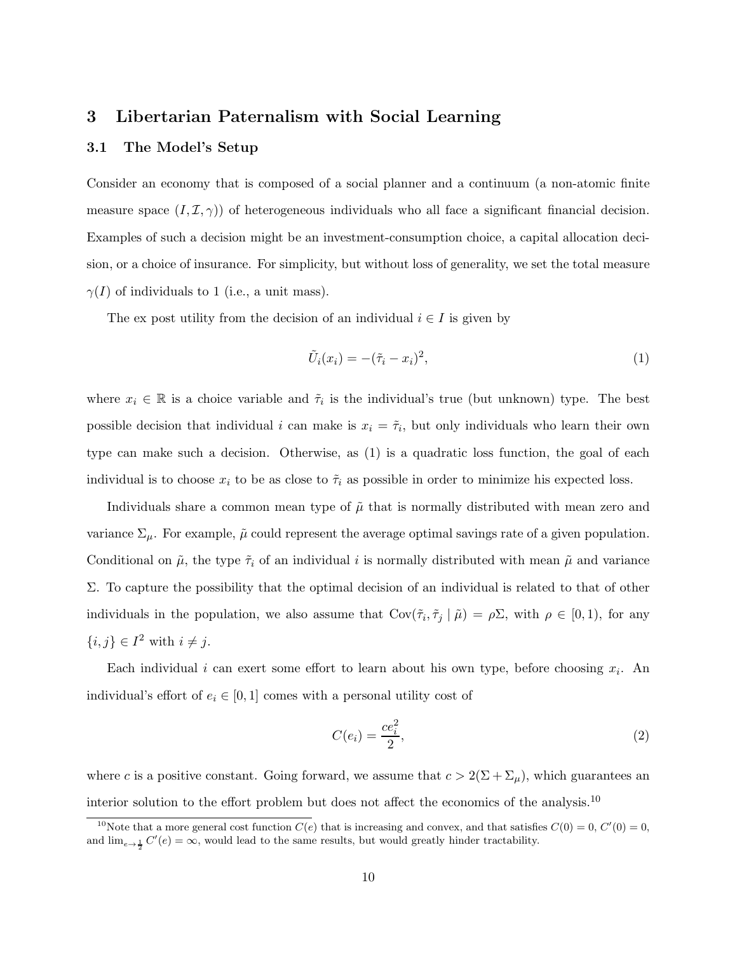# 3 Libertarian Paternalism with Social Learning

### 3.1 The Model's Setup

Consider an economy that is composed of a social planner and a continuum (a non-atomic finite measure space  $(I, \mathcal{I}, \gamma)$  of heterogeneous individuals who all face a significant financial decision. Examples of such a decision might be an investment-consumption choice, a capital allocation decision, or a choice of insurance. For simplicity, but without loss of generality, we set the total measure  $\gamma(I)$  of individuals to 1 (i.e., a unit mass).

The ex post utility from the decision of an individual  $i \in I$  is given by

$$
\tilde{U}_i(x_i) = -(\tilde{\tau}_i - x_i)^2,\tag{1}
$$

where  $x_i \in \mathbb{R}$  is a choice variable and  $\tilde{\tau}_i$  is the individual's true (but unknown) type. The best possible decision that individual i can make is  $x_i = \tilde{\tau}_i$ , but only individuals who learn their own type can make such a decision. Otherwise, as (1) is a quadratic loss function, the goal of each individual is to choose  $x_i$  to be as close to  $\tilde{\tau}_i$  as possible in order to minimize his expected loss.

Individuals share a common mean type of  $\tilde{\mu}$  that is normally distributed with mean zero and variance  $\Sigma_{\mu}$ . For example,  $\tilde{\mu}$  could represent the average optimal savings rate of a given population. Conditional on  $\tilde{\mu}$ , the type  $\tilde{\tau}_i$  of an individual i is normally distributed with mean  $\tilde{\mu}$  and variance  $\Sigma$ . To capture the possibility that the optimal decision of an individual is related to that of other individuals in the population, we also assume that  $Cov(\tilde{\tau}_i, \tilde{\tau}_j | \tilde{\mu}) = \rho \Sigma$ , with  $\rho \in [0, 1)$ , for any  $\{i, j\} \in I^2$  with  $i \neq j$ .

Each individual i can exert some effort to learn about his own type, before choosing  $x_i$ . An individual's effort of  $e_i \in [0, 1]$  comes with a personal utility cost of

$$
C(e_i) = \frac{ce_i^2}{2},\tag{2}
$$

where c is a positive constant. Going forward, we assume that  $c > 2(\Sigma + \Sigma_{\mu})$ , which guarantees an interior solution to the effort problem but does not affect the economics of the analysis.<sup>10</sup>

<sup>&</sup>lt;sup>10</sup>Note that a more general cost function  $C(e)$  that is increasing and convex, and that satisfies  $C(0) = 0$ ,  $C'(0) = 0$ , and  $\lim_{e\to\frac{1}{2}} C'(e) = \infty$ , would lead to the same results, but would greatly hinder tractability.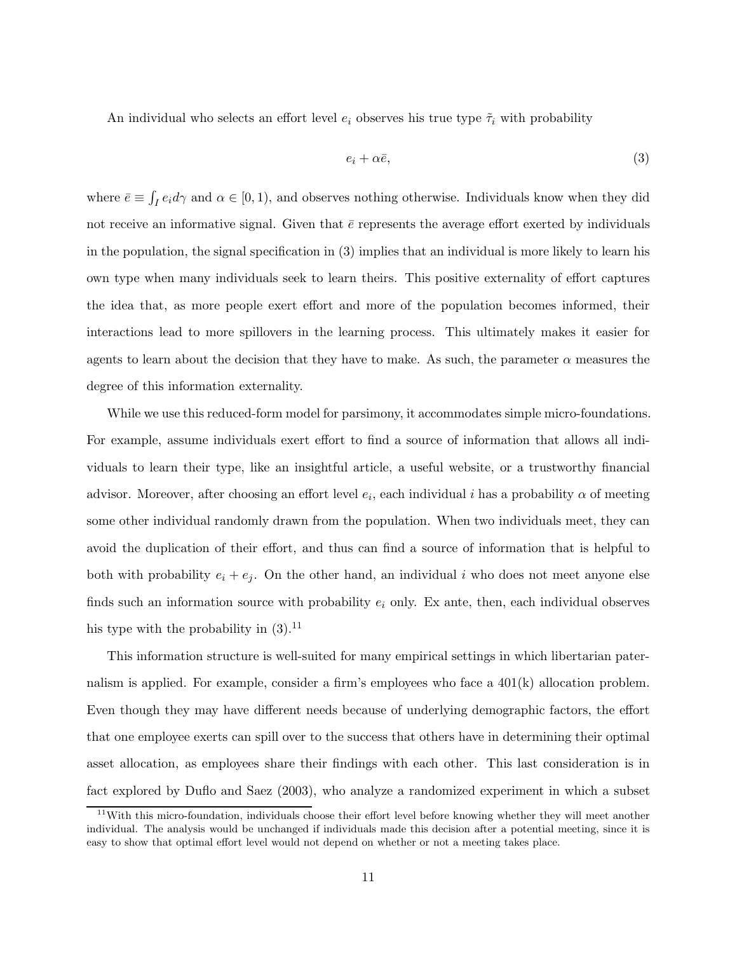An individual who selects an effort level  $e_i$  observes his true type  $\tilde{\tau}_i$  with probability

$$
e_i + \alpha \bar{e}, \tag{3}
$$

where  $\bar{e} \equiv \int_I e_i d\gamma$  and  $\alpha \in [0, 1)$ , and observes nothing otherwise. Individuals know when they did not receive an informative signal. Given that  $\bar{e}$  represents the average effort exerted by individuals in the population, the signal specification in (3) implies that an individual is more likely to learn his own type when many individuals seek to learn theirs. This positive externality of effort captures the idea that, as more people exert effort and more of the population becomes informed, their interactions lead to more spillovers in the learning process. This ultimately makes it easier for agents to learn about the decision that they have to make. As such, the parameter  $\alpha$  measures the degree of this information externality.

While we use this reduced-form model for parsimony, it accommodates simple micro-foundations. For example, assume individuals exert effort to find a source of information that allows all individuals to learn their type, like an insightful article, a useful website, or a trustworthy financial advisor. Moreover, after choosing an effort level  $e_i$ , each individual i has a probability  $\alpha$  of meeting some other individual randomly drawn from the population. When two individuals meet, they can avoid the duplication of their effort, and thus can find a source of information that is helpful to both with probability  $e_i + e_j$ . On the other hand, an individual i who does not meet anyone else finds such an information source with probability  $e_i$  only. Ex ante, then, each individual observes his type with the probability in  $(3).<sup>11</sup>$ 

This information structure is well-suited for many empirical settings in which libertarian paternalism is applied. For example, consider a firm's employees who face a 401(k) allocation problem. Even though they may have different needs because of underlying demographic factors, the effort that one employee exerts can spill over to the success that others have in determining their optimal asset allocation, as employees share their findings with each other. This last consideration is in fact explored by Duflo and Saez (2003), who analyze a randomized experiment in which a subset

<sup>&</sup>lt;sup>11</sup>With this micro-foundation, individuals choose their effort level before knowing whether they will meet another individual. The analysis would be unchanged if individuals made this decision after a potential meeting, since it is easy to show that optimal effort level would not depend on whether or not a meeting takes place.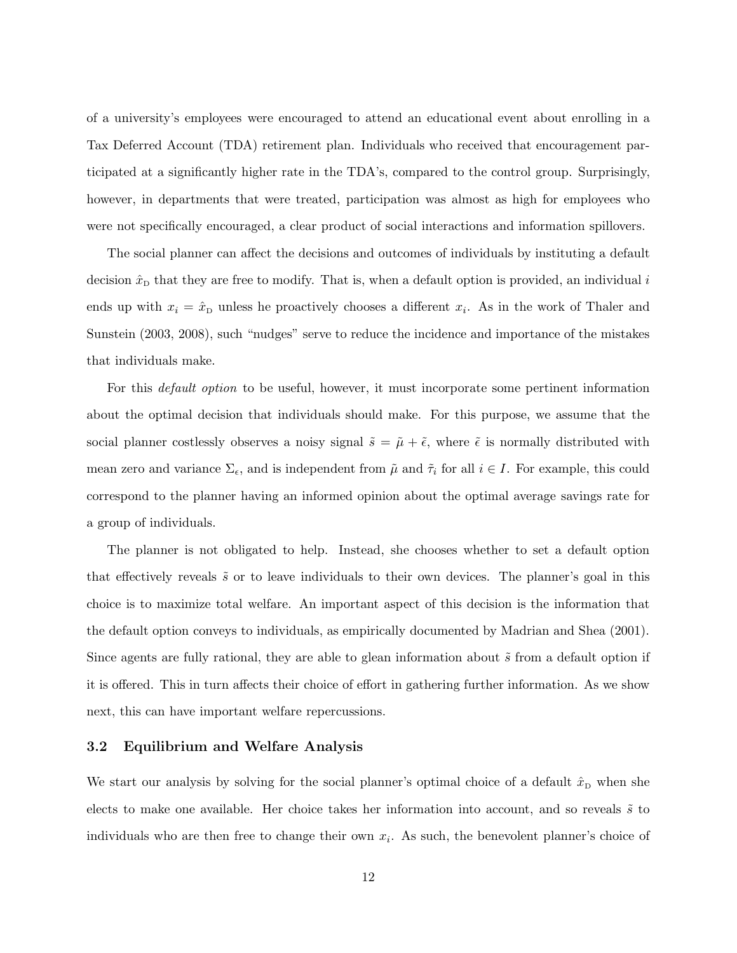of a university's employees were encouraged to attend an educational event about enrolling in a Tax Deferred Account (TDA) retirement plan. Individuals who received that encouragement participated at a significantly higher rate in the TDA's, compared to the control group. Surprisingly, however, in departments that were treated, participation was almost as high for employees who were not specifically encouraged, a clear product of social interactions and information spillovers.

The social planner can affect the decisions and outcomes of individuals by instituting a default decision  $\hat{x}_D$  that they are free to modify. That is, when a default option is provided, an individual i ends up with  $x_i = \hat{x}_{\text{D}}$  unless he proactively chooses a different  $x_i$ . As in the work of Thaler and Sunstein (2003, 2008), such "nudges" serve to reduce the incidence and importance of the mistakes that individuals make.

For this default option to be useful, however, it must incorporate some pertinent information about the optimal decision that individuals should make. For this purpose, we assume that the social planner costlessly observes a noisy signal  $\tilde{s} = \tilde{\mu} + \tilde{\epsilon}$ , where  $\tilde{\epsilon}$  is normally distributed with mean zero and variance  $\Sigma_{\epsilon}$ , and is independent from  $\tilde{\mu}$  and  $\tilde{\tau}_i$  for all  $i \in I$ . For example, this could correspond to the planner having an informed opinion about the optimal average savings rate for a group of individuals.

The planner is not obligated to help. Instead, she chooses whether to set a default option that effectively reveals  $\tilde{s}$  or to leave individuals to their own devices. The planner's goal in this choice is to maximize total welfare. An important aspect of this decision is the information that the default option conveys to individuals, as empirically documented by Madrian and Shea (2001). Since agents are fully rational, they are able to glean information about  $\tilde{s}$  from a default option if it is offered. This in turn affects their choice of effort in gathering further information. As we show next, this can have important welfare repercussions.

#### 3.2 Equilibrium and Welfare Analysis

We start our analysis by solving for the social planner's optimal choice of a default  $\hat{x}_D$  when she elects to make one available. Her choice takes her information into account, and so reveals  $\tilde{s}$  to individuals who are then free to change their own  $x_i$ . As such, the benevolent planner's choice of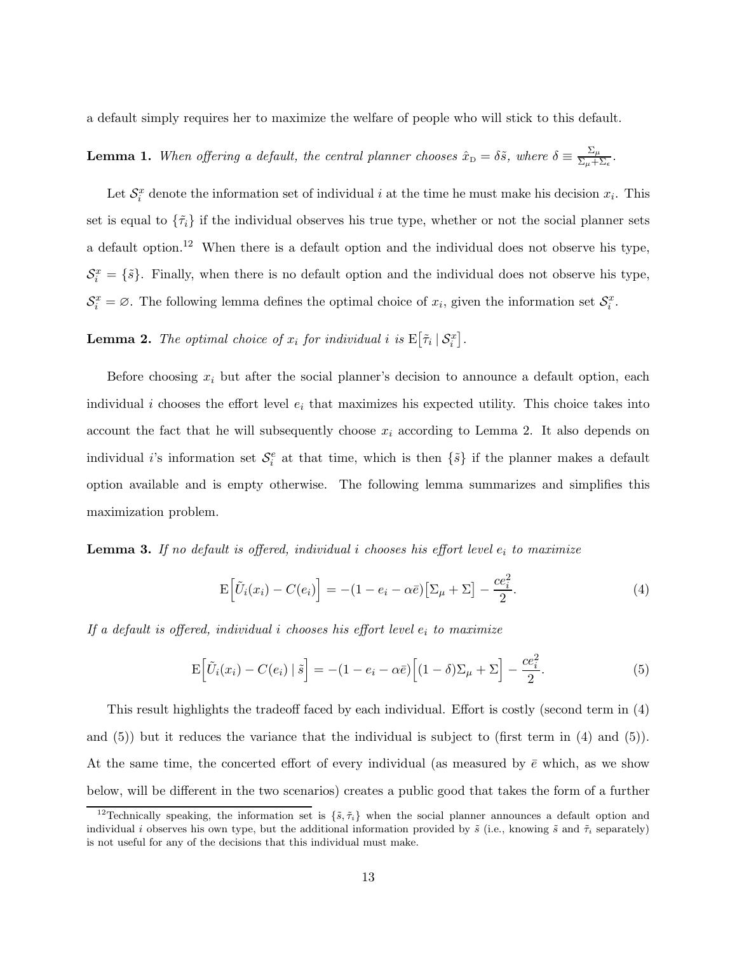a default simply requires her to maximize the welfare of people who will stick to this default.

**Lemma 1.** When offering a default, the central planner chooses  $\hat{x}_{\text{D}} = \delta \tilde{s}$ , where  $\delta \equiv \frac{\Sigma_{\mu}}{\Sigma_{\mu} + \Sigma_{\mu}}$  $\frac{\omega_\mu}{\Sigma_\mu + \Sigma_\epsilon}$ .

Let  $\mathcal{S}_i^x$  denote the information set of individual i at the time he must make his decision  $x_i$ . This set is equal to  $\{\tilde{\tau}_i\}$  if the individual observes his true type, whether or not the social planner sets a default option.<sup>12</sup> When there is a default option and the individual does not observe his type,  $\mathcal{S}_i^x = \{\tilde{s}\}.$  Finally, when there is no default option and the individual does not observe his type,  $S_i^x = \emptyset$ . The following lemma defines the optimal choice of  $x_i$ , given the information set  $S_i^x$ .

**Lemma 2.** The optimal choice of  $x_i$  for individual i is  $E[\tilde{\tau}_i | S_i^x]$ .

Before choosing  $x_i$  but after the social planner's decision to announce a default option, each individual i chooses the effort level  $e_i$  that maximizes his expected utility. This choice takes into account the fact that he will subsequently choose  $x_i$  according to Lemma 2. It also depends on individual *i*'s information set  $\mathcal{S}_i^e$  at that time, which is then  $\{\tilde{s}\}$  if the planner makes a default option available and is empty otherwise. The following lemma summarizes and simplifies this maximization problem.

**Lemma 3.** If no default is offered, individual i chooses his effort level  $e_i$  to maximize

$$
\mathcal{E}\left[\tilde{U}_i(x_i) - C(e_i)\right] = -(1 - e_i - \alpha \bar{e})\left[\Sigma_\mu + \Sigma\right] - \frac{ce_i^2}{2}.
$$
\n(4)

If a default is offered, individual i chooses his effort level  $e_i$  to maximize

$$
\mathcal{E}\left[\tilde{U}_i(x_i) - C(e_i) \mid \tilde{s}\right] = -(1 - e_i - \alpha \bar{e})\left[(1 - \delta)\Sigma_\mu + \Sigma\right] - \frac{ce_i^2}{2}.\tag{5}
$$

This result highlights the tradeoff faced by each individual. Effort is costly (second term in (4) and  $(5)$ ) but it reduces the variance that the individual is subject to (first term in  $(4)$  and  $(5)$ ). At the same time, the concerted effort of every individual (as measured by  $\bar{e}$  which, as we show below, will be different in the two scenarios) creates a public good that takes the form of a further

<sup>&</sup>lt;sup>12</sup>Technically speaking, the information set is  $\{\tilde{s}, \tilde{\tau}_i\}$  when the social planner announces a default option and individual i observes his own type, but the additional information provided by  $\tilde{s}$  (i.e., knowing  $\tilde{s}$  and  $\tilde{\tau}_i$  separately) is not useful for any of the decisions that this individual must make.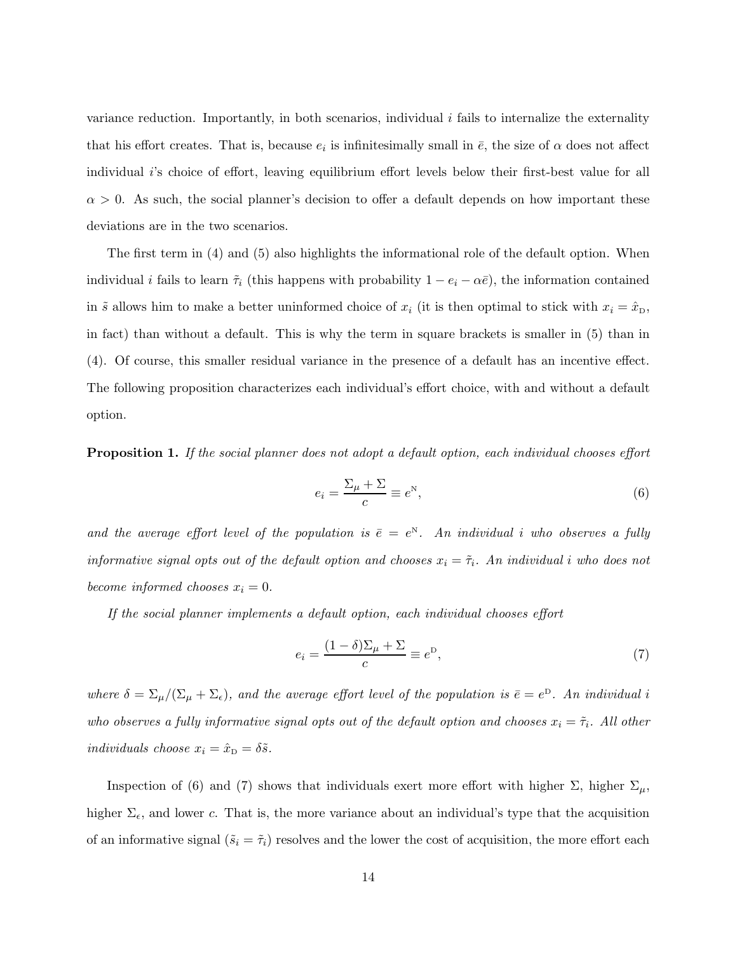variance reduction. Importantly, in both scenarios, individual  $i$  fails to internalize the externality that his effort creates. That is, because  $e_i$  is infinitesimally small in  $\bar{e}$ , the size of  $\alpha$  does not affect individual i's choice of effort, leaving equilibrium effort levels below their first-best value for all  $\alpha > 0$ . As such, the social planner's decision to offer a default depends on how important these deviations are in the two scenarios.

The first term in (4) and (5) also highlights the informational role of the default option. When individual *i* fails to learn  $\tilde{\tau}_i$  (this happens with probability  $1 - e_i - \alpha \bar{e}$ ), the information contained in  $\tilde{s}$  allows him to make a better uninformed choice of  $x_i$  (it is then optimal to stick with  $x_i = \hat{x}_{\text{D}}$ , in fact) than without a default. This is why the term in square brackets is smaller in (5) than in (4). Of course, this smaller residual variance in the presence of a default has an incentive effect. The following proposition characterizes each individual's effort choice, with and without a default option.

**Proposition 1.** If the social planner does not adopt a default option, each individual chooses effort

$$
e_i = \frac{\Sigma_\mu + \Sigma}{c} \equiv e^N,\tag{6}
$$

and the average effort level of the population is  $\bar{e} = e^N$ . An individual i who observes a fully informative signal opts out of the default option and chooses  $x_i = \tilde{\tau}_i$ . An individual i who does not become informed chooses  $x_i = 0$ .

If the social planner implements a default option, each individual chooses effort

$$
e_i = \frac{(1 - \delta)\Sigma_\mu + \Sigma}{c} \equiv e^{\mathcal{D}},\tag{7}
$$

where  $\delta = \sum_{\mu}/(\sum_{\mu} + \sum_{\epsilon})$ , and the average effort level of the population is  $\bar{e} = e^{D}$ . An individual i who observes a fully informative signal opts out of the default option and chooses  $x_i = \tilde{\tau}_i$ . All other individuals choose  $x_i = \hat{x}_D = \delta \tilde{s}$ .

Inspection of (6) and (7) shows that individuals exert more effort with higher  $\Sigma$ , higher  $\Sigma_{\mu}$ , higher  $\Sigma_{\epsilon}$ , and lower c. That is, the more variance about an individual's type that the acquisition of an informative signal  $(\tilde{s}_i = \tilde{\tau}_i)$  resolves and the lower the cost of acquisition, the more effort each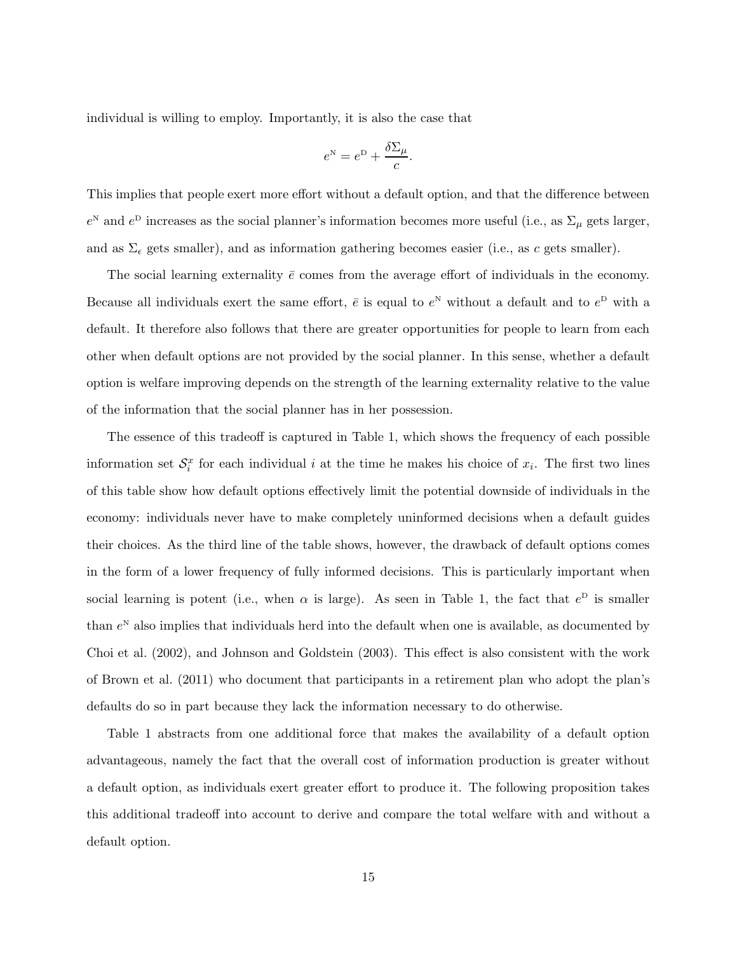individual is willing to employ. Importantly, it is also the case that

$$
e^{\mathbf{N}} = e^{\mathbf{D}} + \frac{\delta \Sigma_{\mu}}{c}.
$$

This implies that people exert more effort without a default option, and that the difference between  $e^N$  and  $e^D$  increases as the social planner's information becomes more useful (i.e., as  $\Sigma_\mu$  gets larger, and as  $\Sigma_{\epsilon}$  gets smaller), and as information gathering becomes easier (i.e., as c gets smaller).

The social learning externality  $\bar{e}$  comes from the average effort of individuals in the economy. Because all individuals exert the same effort,  $\bar{e}$  is equal to  $e^N$  without a default and to  $e^D$  with a default. It therefore also follows that there are greater opportunities for people to learn from each other when default options are not provided by the social planner. In this sense, whether a default option is welfare improving depends on the strength of the learning externality relative to the value of the information that the social planner has in her possession.

The essence of this tradeoff is captured in Table 1, which shows the frequency of each possible information set  $S_i^x$  for each individual i at the time he makes his choice of  $x_i$ . The first two lines of this table show how default options effectively limit the potential downside of individuals in the economy: individuals never have to make completely uninformed decisions when a default guides their choices. As the third line of the table shows, however, the drawback of default options comes in the form of a lower frequency of fully informed decisions. This is particularly important when social learning is potent (i.e., when  $\alpha$  is large). As seen in Table 1, the fact that  $e^D$  is smaller than  $e^N$  also implies that individuals herd into the default when one is available, as documented by Choi et al. (2002), and Johnson and Goldstein (2003). This effect is also consistent with the work of Brown et al. (2011) who document that participants in a retirement plan who adopt the plan's defaults do so in part because they lack the information necessary to do otherwise.

Table 1 abstracts from one additional force that makes the availability of a default option advantageous, namely the fact that the overall cost of information production is greater without a default option, as individuals exert greater effort to produce it. The following proposition takes this additional tradeoff into account to derive and compare the total welfare with and without a default option.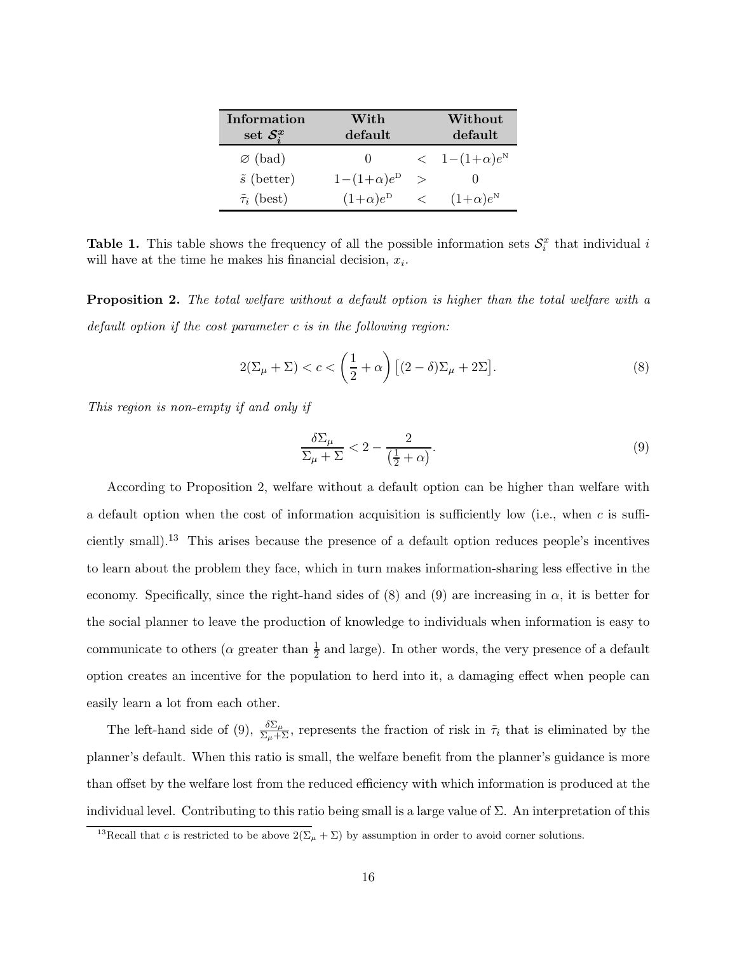| Information             | With                |         | Without                     |
|-------------------------|---------------------|---------|-----------------------------|
| set $S_i^x$             | default             |         | default                     |
| $\varnothing$ (bad)     | $^{(1)}$            |         | $\langle 1-(1+\alpha)e^{N}$ |
| $\tilde{s}$ (better)    | $1-(1+\alpha)e^{D}$ | $\geq$  |                             |
| $\tilde{\tau}_i$ (best) | $(1+\alpha)e^{D}$   | $\,<\,$ | $(1+\alpha)e^{N}$           |

**Table 1.** This table shows the frequency of all the possible information sets  $\mathcal{S}_i^x$  that individual i will have at the time he makes his financial decision,  $x_i$ .

Proposition 2. The total welfare without a default option is higher than the total welfare with a default option if the cost parameter c is in the following region:

$$
2(\Sigma_{\mu} + \Sigma) < c < \left(\frac{1}{2} + \alpha\right) \left[ (2 - \delta)\Sigma_{\mu} + 2\Sigma \right].\tag{8}
$$

This region is non-empty if and only if

$$
\frac{\delta \Sigma_{\mu}}{\Sigma_{\mu} + \Sigma} < 2 - \frac{2}{\left(\frac{1}{2} + \alpha\right)}.\tag{9}
$$

According to Proposition 2, welfare without a default option can be higher than welfare with a default option when the cost of information acquisition is sufficiently low (i.e., when  $c$  is sufficiently small).<sup>13</sup> This arises because the presence of a default option reduces people's incentives to learn about the problem they face, which in turn makes information-sharing less effective in the economy. Specifically, since the right-hand sides of (8) and (9) are increasing in  $\alpha$ , it is better for the social planner to leave the production of knowledge to individuals when information is easy to communicate to others ( $\alpha$  greater than  $\frac{1}{2}$  and large). In other words, the very presence of a default option creates an incentive for the population to herd into it, a damaging effect when people can easily learn a lot from each other.

The left-hand side of (9),  $\frac{\delta \Sigma_{\mu}}{\Sigma_{\mu} + \Sigma}$ , represents the fraction of risk in  $\tilde{\tau}_i$  that is eliminated by the planner's default. When this ratio is small, the welfare benefit from the planner's guidance is more than offset by the welfare lost from the reduced efficiency with which information is produced at the individual level. Contributing to this ratio being small is a large value of Σ. An interpretation of this

<sup>&</sup>lt;sup>13</sup>Recall that c is restricted to be above  $2(\Sigma_{\mu} + \Sigma)$  by assumption in order to avoid corner solutions.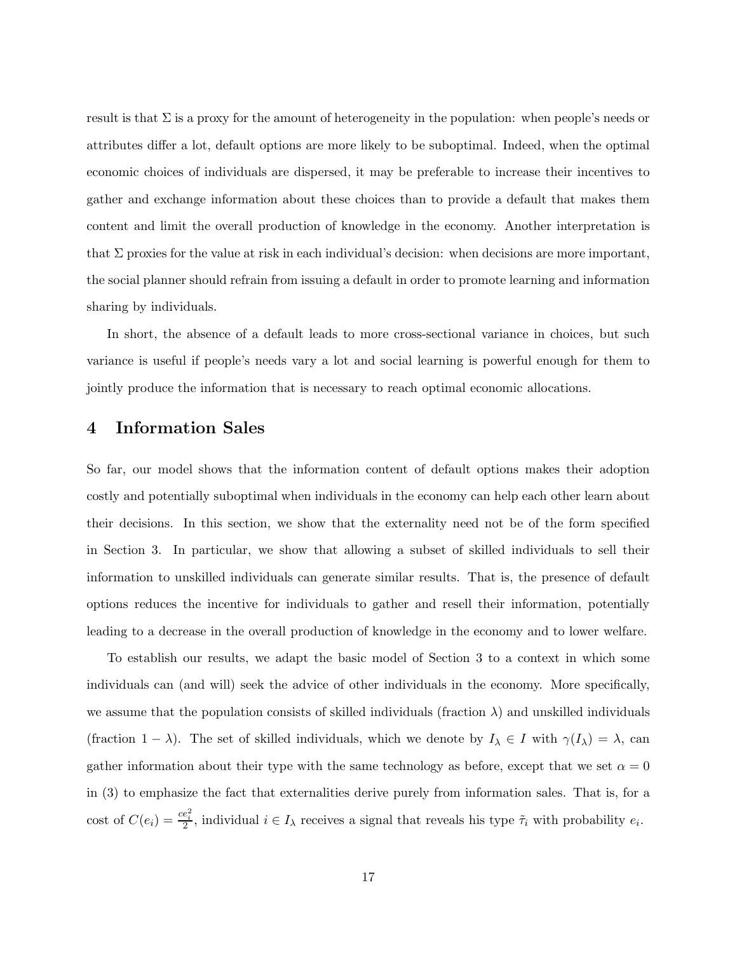result is that  $\Sigma$  is a proxy for the amount of heterogeneity in the population: when people's needs or attributes differ a lot, default options are more likely to be suboptimal. Indeed, when the optimal economic choices of individuals are dispersed, it may be preferable to increase their incentives to gather and exchange information about these choices than to provide a default that makes them content and limit the overall production of knowledge in the economy. Another interpretation is that  $\Sigma$  proxies for the value at risk in each individual's decision: when decisions are more important, the social planner should refrain from issuing a default in order to promote learning and information sharing by individuals.

In short, the absence of a default leads to more cross-sectional variance in choices, but such variance is useful if people's needs vary a lot and social learning is powerful enough for them to jointly produce the information that is necessary to reach optimal economic allocations.

# 4 Information Sales

So far, our model shows that the information content of default options makes their adoption costly and potentially suboptimal when individuals in the economy can help each other learn about their decisions. In this section, we show that the externality need not be of the form specified in Section 3. In particular, we show that allowing a subset of skilled individuals to sell their information to unskilled individuals can generate similar results. That is, the presence of default options reduces the incentive for individuals to gather and resell their information, potentially leading to a decrease in the overall production of knowledge in the economy and to lower welfare.

To establish our results, we adapt the basic model of Section 3 to a context in which some individuals can (and will) seek the advice of other individuals in the economy. More specifically, we assume that the population consists of skilled individuals (fraction  $\lambda$ ) and unskilled individuals (fraction  $1 - \lambda$ ). The set of skilled individuals, which we denote by  $I_{\lambda} \in I$  with  $\gamma(I_{\lambda}) = \lambda$ , can gather information about their type with the same technology as before, except that we set  $\alpha = 0$ in (3) to emphasize the fact that externalities derive purely from information sales. That is, for a cost of  $C(e_i) = \frac{ce_i^2}{2}$ , individual  $i \in I_\lambda$  receives a signal that reveals his type  $\tilde{\tau}_i$  with probability  $e_i$ .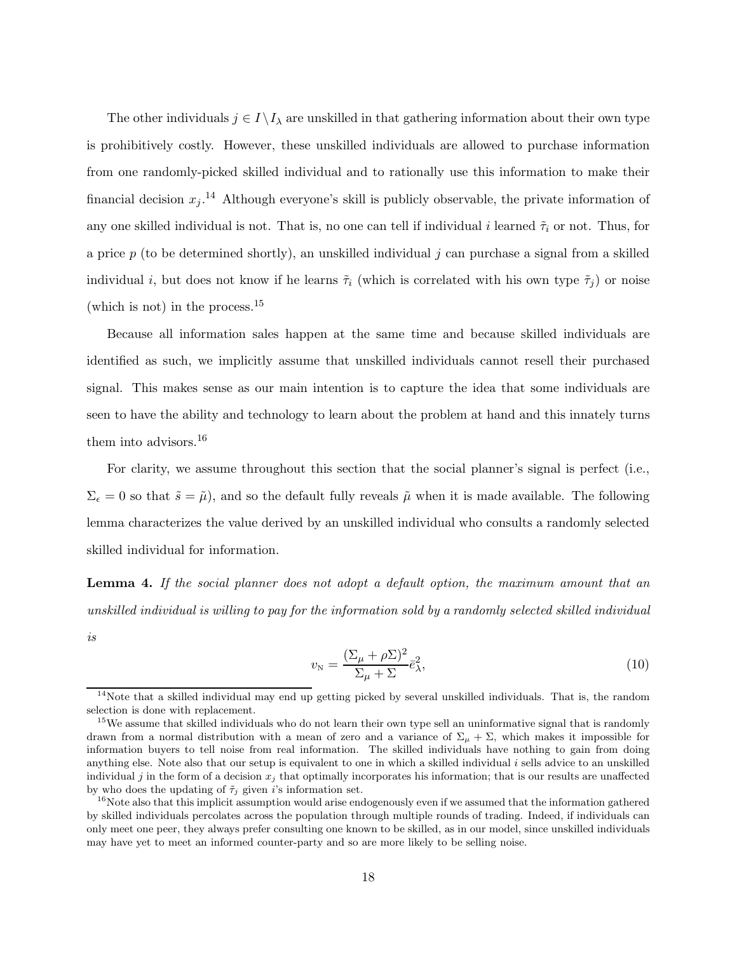The other individuals  $j \in I \backslash I_\lambda$  are unskilled in that gathering information about their own type is prohibitively costly. However, these unskilled individuals are allowed to purchase information from one randomly-picked skilled individual and to rationally use this information to make their financial decision  $x_j$ .<sup>14</sup> Although everyone's skill is publicly observable, the private information of any one skilled individual is not. That is, no one can tell if individual i learned  $\tilde{\tau}_i$  or not. Thus, for a price p (to be determined shortly), an unskilled individual j can purchase a signal from a skilled individual i, but does not know if he learns  $\tilde{\tau}_i$  (which is correlated with his own type  $\tilde{\tau}_j$ ) or noise (which is not) in the process.  $^{15}$ 

Because all information sales happen at the same time and because skilled individuals are identified as such, we implicitly assume that unskilled individuals cannot resell their purchased signal. This makes sense as our main intention is to capture the idea that some individuals are seen to have the ability and technology to learn about the problem at hand and this innately turns them into advisors.<sup>16</sup>

For clarity, we assume throughout this section that the social planner's signal is perfect (i.e.,  $\Sigma_{\epsilon} = 0$  so that  $\tilde{s} = \tilde{\mu}$ , and so the default fully reveals  $\tilde{\mu}$  when it is made available. The following lemma characterizes the value derived by an unskilled individual who consults a randomly selected skilled individual for information.

Lemma 4. If the social planner does not adopt a default option, the maximum amount that an unskilled individual is willing to pay for the information sold by a randomly selected skilled individual is

$$
v_{\rm N} = \frac{(\Sigma_{\mu} + \rho \Sigma)^2}{\Sigma_{\mu} + \Sigma} \bar{e}_{\lambda}^2,\tag{10}
$$

 $14$ Note that a skilled individual may end up getting picked by several unskilled individuals. That is, the random selection is done with replacement.

<sup>&</sup>lt;sup>15</sup>We assume that skilled individuals who do not learn their own type sell an uninformative signal that is randomly drawn from a normal distribution with a mean of zero and a variance of  $\Sigma_{\mu} + \Sigma$ , which makes it impossible for information buyers to tell noise from real information. The skilled individuals have nothing to gain from doing anything else. Note also that our setup is equivalent to one in which a skilled individual  $i$  sells advice to an unskilled individual j in the form of a decision  $x_j$  that optimally incorporates his information; that is our results are unaffected by who does the updating of  $\tilde{\tau}_i$  given i's information set.

<sup>&</sup>lt;sup>16</sup>Note also that this implicit assumption would arise endogenously even if we assumed that the information gathered by skilled individuals percolates across the population through multiple rounds of trading. Indeed, if individuals can only meet one peer, they always prefer consulting one known to be skilled, as in our model, since unskilled individuals may have yet to meet an informed counter-party and so are more likely to be selling noise.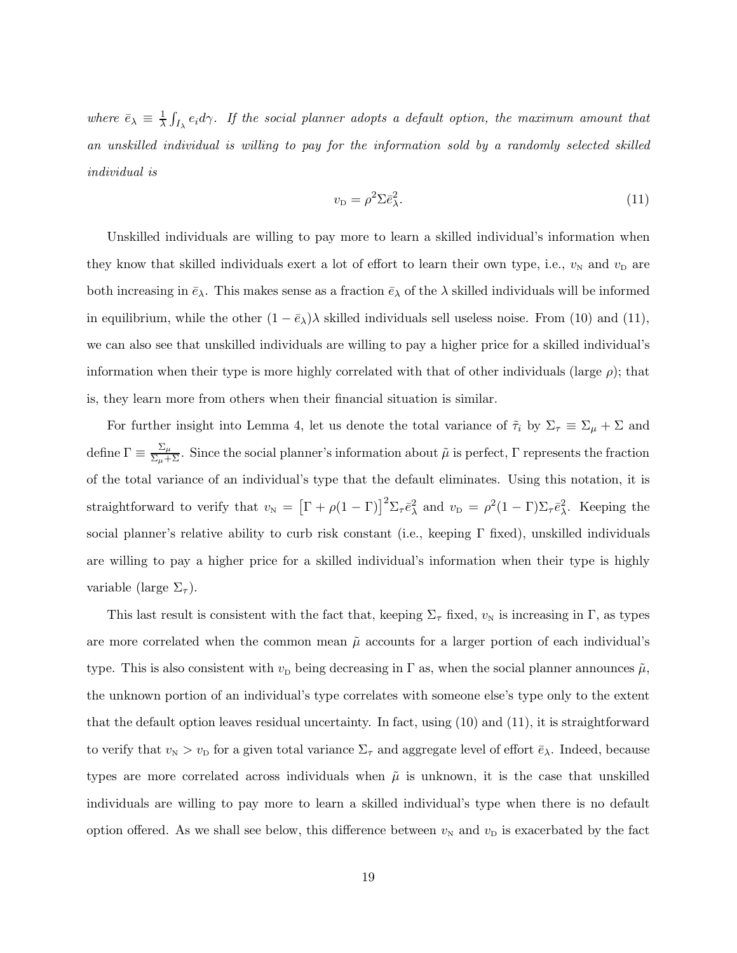where  $\bar{e}_{\lambda} \equiv \frac{1}{\lambda} \int_{I_{\lambda}} e_i d\gamma$ . If the social planner adopts a default option, the maximum amount that an unskilled individual is willing to pay for the information sold by a randomly selected skilled individual is

$$
v_{\rm D} = \rho^2 \Sigma \bar{e}_{\lambda}^2. \tag{11}
$$

Unskilled individuals are willing to pay more to learn a skilled individual's information when they know that skilled individuals exert a lot of effort to learn their own type, i.e.,  $v_N$  and  $v_D$  are both increasing in  $\bar{e}_{\lambda}$ . This makes sense as a fraction  $\bar{e}_{\lambda}$  of the  $\lambda$  skilled individuals will be informed in equilibrium, while the other  $(1 - \bar{e}_{\lambda})\lambda$  skilled individuals sell useless noise. From (10) and (11), we can also see that unskilled individuals are willing to pay a higher price for a skilled individual's information when their type is more highly correlated with that of other individuals (large  $\rho$ ); that is, they learn more from others when their financial situation is similar.

For further insight into Lemma 4, let us denote the total variance of  $\tilde{\tau}_i$  by  $\Sigma_{\tau} \equiv \Sigma_{\mu} + \Sigma$  and define  $\Gamma = \frac{\Sigma_{\mu}}{\Sigma_{\mu} + \Sigma}$ . Since the social planner's information about  $\tilde{\mu}$  is perfect,  $\Gamma$  represents the fraction of the total variance of an individual's type that the default eliminates. Using this notation, it is straightforward to verify that  $v_N = \left[\Gamma + \rho(1-\Gamma)\right]^2 \Sigma_\tau \bar{e}^2_\lambda$  and  $v_D = \rho^2 (1-\Gamma) \Sigma_\tau \bar{e}^2_\lambda$ . Keeping the social planner's relative ability to curb risk constant (i.e., keeping  $\Gamma$  fixed), unskilled individuals are willing to pay a higher price for a skilled individual's information when their type is highly variable (large  $\Sigma_{\tau}$ ).

This last result is consistent with the fact that, keeping  $\Sigma_{\tau}$  fixed,  $v_N$  is increasing in Γ, as types are more correlated when the common mean  $\tilde{\mu}$  accounts for a larger portion of each individual's type. This is also consistent with  $v_D$  being decreasing in  $\Gamma$  as, when the social planner announces  $\tilde{\mu}$ , the unknown portion of an individual's type correlates with someone else's type only to the extent that the default option leaves residual uncertainty. In fact, using (10) and (11), it is straightforward to verify that  $v_N > v_D$  for a given total variance  $\Sigma_{\tau}$  and aggregate level of effort  $\bar{e}_{\lambda}$ . Indeed, because types are more correlated across individuals when  $\tilde{\mu}$  is unknown, it is the case that unskilled individuals are willing to pay more to learn a skilled individual's type when there is no default option offered. As we shall see below, this difference between  $v_N$  and  $v_D$  is exacerbated by the fact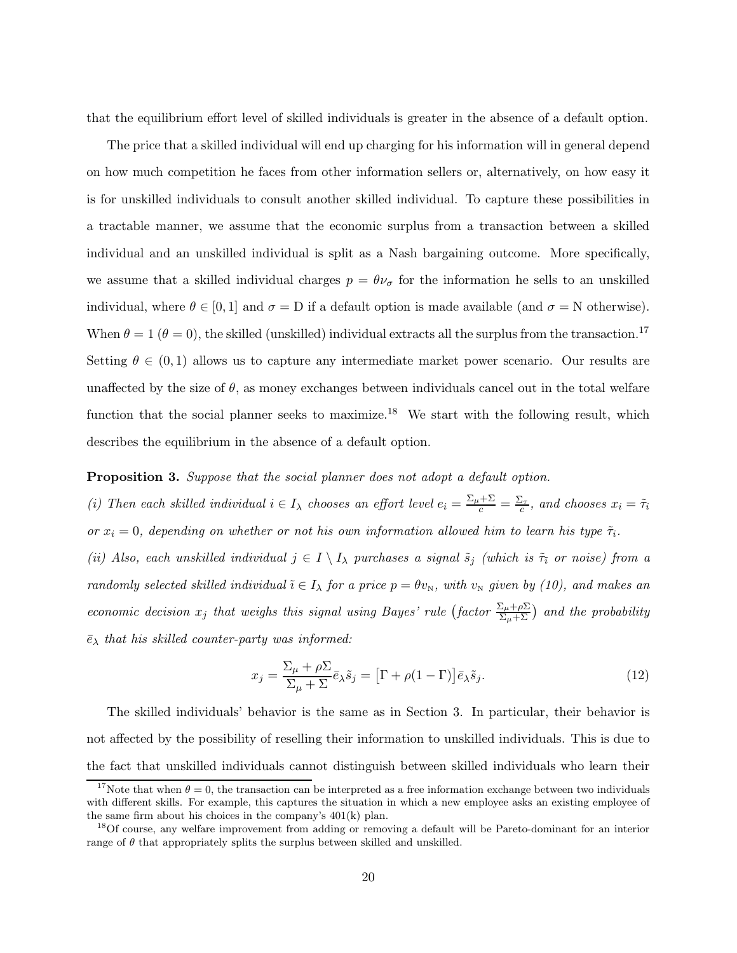that the equilibrium effort level of skilled individuals is greater in the absence of a default option.

The price that a skilled individual will end up charging for his information will in general depend on how much competition he faces from other information sellers or, alternatively, on how easy it is for unskilled individuals to consult another skilled individual. To capture these possibilities in a tractable manner, we assume that the economic surplus from a transaction between a skilled individual and an unskilled individual is split as a Nash bargaining outcome. More specifically, we assume that a skilled individual charges  $p = \theta \nu_{\sigma}$  for the information he sells to an unskilled individual, where  $\theta \in [0, 1]$  and  $\sigma = D$  if a default option is made available (and  $\sigma = N$  otherwise). When  $\theta = 1$  ( $\theta = 0$ ), the skilled (unskilled) individual extracts all the surplus from the transaction.<sup>17</sup> Setting  $\theta \in (0,1)$  allows us to capture any intermediate market power scenario. Our results are unaffected by the size of  $\theta$ , as money exchanges between individuals cancel out in the total welfare function that the social planner seeks to maximize.<sup>18</sup> We start with the following result, which describes the equilibrium in the absence of a default option.

## Proposition 3. Suppose that the social planner does not adopt a default option.

(i) Then each skilled individual  $i \in I_\lambda$  chooses an effort level  $e_i = \frac{\sum_{\mu} + \sum_{\tau}}{c} = \frac{\sum_{\tau}}{c}$ , and chooses  $x_i = \tilde{\tau}_i$ or  $x_i = 0$ , depending on whether or not his own information allowed him to learn his type  $\tilde{\tau}_i$ . (ii) Also, each unskilled individual  $j \in I \setminus I_\lambda$  purchases a signal  $\tilde{s}_j$  (which is  $\tilde{\tau}_i$  or noise) from a randomly selected skilled individual  $\tilde{\imath} \in I_{\lambda}$  for a price  $p = \theta v_{\text{N}}$ , with  $v_{\text{N}}$  given by (10), and makes an economic decision  $x_j$  that weighs this signal using Bayes' rule (factor  $\frac{\sum_{\mu}+\rho\sum_{\mu}}{\sum_{\mu}+\sum_{\mu}}$ ) and the probability  $\bar{e}_{\lambda}$  that his skilled counter-party was informed:

$$
x_j = \frac{\Sigma_\mu + \rho \Sigma}{\Sigma_\mu + \Sigma} \bar{e}_\lambda \tilde{s}_j = \left[\Gamma + \rho (1 - \Gamma)\right] \bar{e}_\lambda \tilde{s}_j. \tag{12}
$$

The skilled individuals' behavior is the same as in Section 3. In particular, their behavior is not affected by the possibility of reselling their information to unskilled individuals. This is due to the fact that unskilled individuals cannot distinguish between skilled individuals who learn their

<sup>&</sup>lt;sup>17</sup>Note that when  $\theta = 0$ , the transaction can be interpreted as a free information exchange between two individuals with different skills. For example, this captures the situation in which a new employee asks an existing employee of the same firm about his choices in the company's 401(k) plan.

<sup>&</sup>lt;sup>18</sup>Of course, any welfare improvement from adding or removing a default will be Pareto-dominant for an interior range of  $\theta$  that appropriately splits the surplus between skilled and unskilled.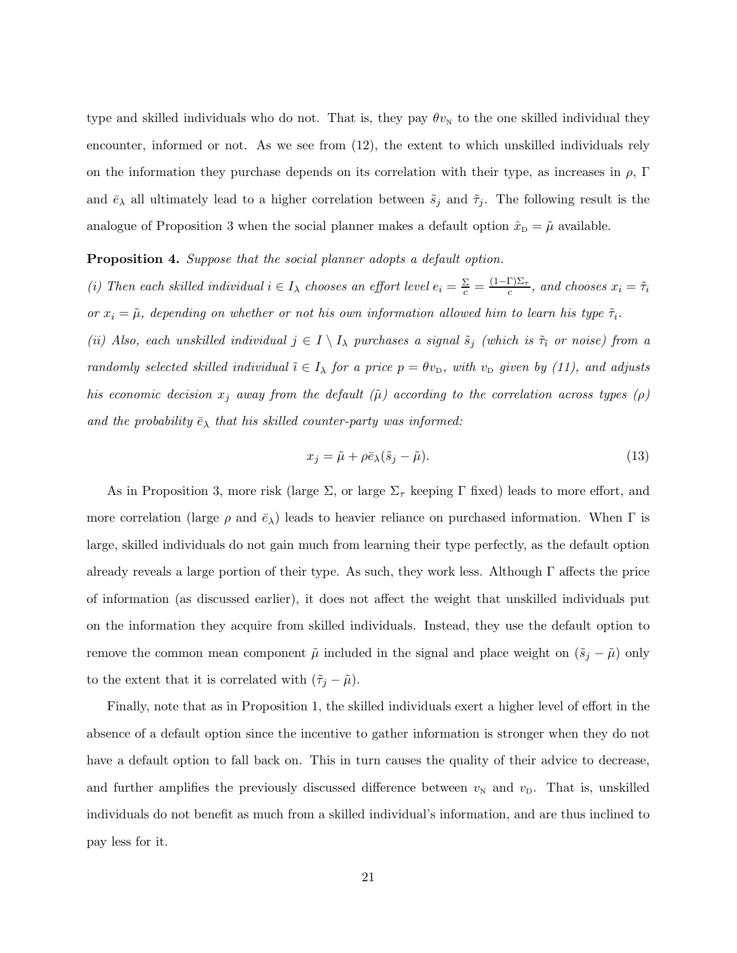type and skilled individuals who do not. That is, they pay  $\theta v_N$  to the one skilled individual they encounter, informed or not. As we see from (12), the extent to which unskilled individuals rely on the information they purchase depends on its correlation with their type, as increases in  $\rho$ , Γ and  $\bar{e}_{\lambda}$  all ultimately lead to a higher correlation between  $\tilde{s}_j$  and  $\tilde{\tau}_j$ . The following result is the analogue of Proposition 3 when the social planner makes a default option  $\hat{x}_D = \tilde{\mu}$  available.

### Proposition 4. Suppose that the social planner adopts a default option.

(i) Then each skilled individual  $i \in I_\lambda$  chooses an effort level  $e_i = \frac{\Sigma}{c} = \frac{(1-\Gamma)\Sigma_\tau}{c}$  $\frac{d}{c}$ , and chooses  $x_i = \tilde{\tau}_i$ or  $x_i = \tilde{\mu}$ , depending on whether or not his own information allowed him to learn his type  $\tilde{\tau}_i$ .

(ii) Also, each unskilled individual  $j \in I \setminus I_\lambda$  purchases a signal  $\tilde{s}_j$  (which is  $\tilde{\tau}_i$  or noise) from a randomly selected skilled individual  $\tilde{\imath} \in I_{\lambda}$  for a price  $p = \theta v_{\text{D}}$ , with  $v_{\text{D}}$  given by (11), and adjusts his economic decision  $x_j$  away from the default ( $\tilde{\mu}$ ) according to the correlation across types ( $\rho$ ) and the probability  $\bar{e}_{\lambda}$  that his skilled counter-party was informed:

$$
x_j = \tilde{\mu} + \rho \bar{e}_{\lambda} (\tilde{s}_j - \tilde{\mu}). \tag{13}
$$

As in Proposition 3, more risk (large  $\Sigma$ , or large  $\Sigma_{\tau}$  keeping  $\Gamma$  fixed) leads to more effort, and more correlation (large  $\rho$  and  $\bar{e}_{\lambda}$ ) leads to heavier reliance on purchased information. When  $\Gamma$  is large, skilled individuals do not gain much from learning their type perfectly, as the default option already reveals a large portion of their type. As such, they work less. Although  $\Gamma$  affects the price of information (as discussed earlier), it does not affect the weight that unskilled individuals put on the information they acquire from skilled individuals. Instead, they use the default option to remove the common mean component  $\tilde{\mu}$  included in the signal and place weight on  $(\tilde{s}_j - \tilde{\mu})$  only to the extent that it is correlated with  $(\tilde{\tau}_j - \tilde{\mu})$ .

Finally, note that as in Proposition 1, the skilled individuals exert a higher level of effort in the absence of a default option since the incentive to gather information is stronger when they do not have a default option to fall back on. This in turn causes the quality of their advice to decrease, and further amplifies the previously discussed difference between  $v_N$  and  $v_D$ . That is, unskilled individuals do not benefit as much from a skilled individual's information, and are thus inclined to pay less for it.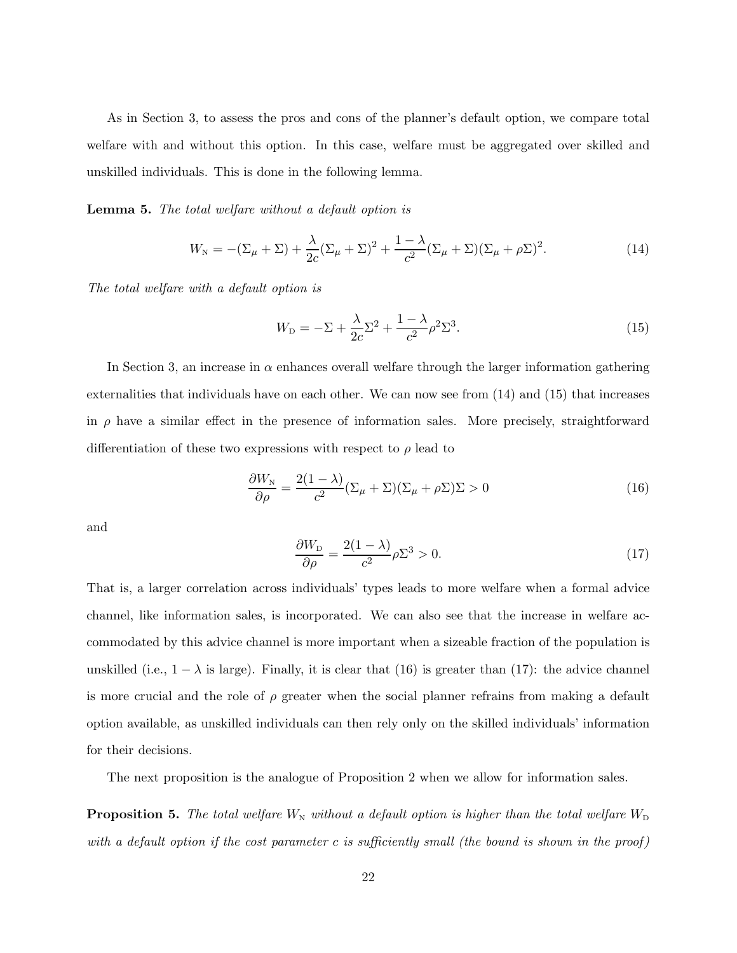As in Section 3, to assess the pros and cons of the planner's default option, we compare total welfare with and without this option. In this case, welfare must be aggregated over skilled and unskilled individuals. This is done in the following lemma.

Lemma 5. The total welfare without a default option is

$$
W_{\rm N} = -(\Sigma_{\mu} + \Sigma) + \frac{\lambda}{2c}(\Sigma_{\mu} + \Sigma)^2 + \frac{1-\lambda}{c^2}(\Sigma_{\mu} + \Sigma)(\Sigma_{\mu} + \rho\Sigma)^2.
$$
 (14)

The total welfare with a default option is

$$
W_{\rm D} = -\Sigma + \frac{\lambda}{2c} \Sigma^2 + \frac{1-\lambda}{c^2} \rho^2 \Sigma^3.
$$
\n(15)

In Section 3, an increase in  $\alpha$  enhances overall welfare through the larger information gathering externalities that individuals have on each other. We can now see from (14) and (15) that increases in  $\rho$  have a similar effect in the presence of information sales. More precisely, straightforward differentiation of these two expressions with respect to  $\rho$  lead to

$$
\frac{\partial W_{\rm N}}{\partial \rho} = \frac{2(1-\lambda)}{c^2} (\Sigma_{\mu} + \Sigma)(\Sigma_{\mu} + \rho \Sigma) \Sigma > 0
$$
\n(16)

and

$$
\frac{\partial W_{\rm D}}{\partial \rho} = \frac{2(1-\lambda)}{c^2} \rho \Sigma^3 > 0. \tag{17}
$$

That is, a larger correlation across individuals' types leads to more welfare when a formal advice channel, like information sales, is incorporated. We can also see that the increase in welfare accommodated by this advice channel is more important when a sizeable fraction of the population is unskilled (i.e.,  $1 - \lambda$  is large). Finally, it is clear that (16) is greater than (17): the advice channel is more crucial and the role of  $\rho$  greater when the social planner refrains from making a default option available, as unskilled individuals can then rely only on the skilled individuals' information for their decisions.

The next proposition is the analogue of Proposition 2 when we allow for information sales.

**Proposition 5.** The total welfare  $W_N$  without a default option is higher than the total welfare  $W_D$ with a default option if the cost parameter c is sufficiently small (the bound is shown in the proof)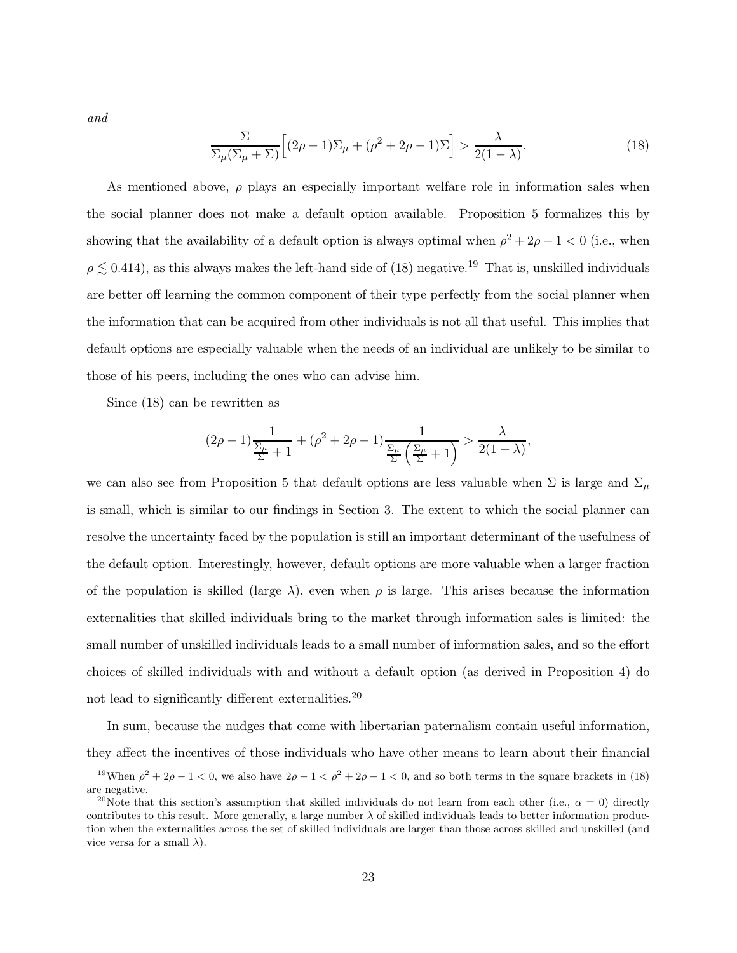and

$$
\frac{\Sigma}{\Sigma_{\mu}(\Sigma_{\mu} + \Sigma)} \left[ (2\rho - 1)\Sigma_{\mu} + (\rho^2 + 2\rho - 1)\Sigma \right] > \frac{\lambda}{2(1 - \lambda)}.
$$
\n(18)

As mentioned above,  $\rho$  plays an especially important welfare role in information sales when the social planner does not make a default option available. Proposition 5 formalizes this by showing that the availability of a default option is always optimal when  $\rho^2 + 2\rho - 1 < 0$  (i.e., when  $\rho \lesssim 0.414$ ), as this always makes the left-hand side of (18) negative.<sup>19</sup> That is, unskilled individuals are better off learning the common component of their type perfectly from the social planner when the information that can be acquired from other individuals is not all that useful. This implies that default options are especially valuable when the needs of an individual are unlikely to be similar to those of his peers, including the ones who can advise him.

Since (18) can be rewritten as

$$
(2\rho-1)\frac{1}{\frac{\Sigma_{\mu}}{\Sigma}+1}+(\rho^2+2\rho-1)\frac{1}{\frac{\Sigma_{\mu}}{\Sigma}\left(\frac{\Sigma_{\mu}}{\Sigma}+1\right)}>\frac{\lambda}{2(1-\lambda)},
$$

we can also see from Proposition 5 that default options are less valuable when  $\Sigma$  is large and  $\Sigma_{\mu}$ is small, which is similar to our findings in Section 3. The extent to which the social planner can resolve the uncertainty faced by the population is still an important determinant of the usefulness of the default option. Interestingly, however, default options are more valuable when a larger fraction of the population is skilled (large  $\lambda$ ), even when  $\rho$  is large. This arises because the information externalities that skilled individuals bring to the market through information sales is limited: the small number of unskilled individuals leads to a small number of information sales, and so the effort choices of skilled individuals with and without a default option (as derived in Proposition 4) do not lead to significantly different externalities.<sup>20</sup>

In sum, because the nudges that come with libertarian paternalism contain useful information, they affect the incentives of those individuals who have other means to learn about their financial

<sup>&</sup>lt;sup>19</sup>When  $\rho^2 + 2\rho - 1 < 0$ , we also have  $2\rho - 1 < \rho^2 + 2\rho - 1 < 0$ , and so both terms in the square brackets in (18) are negative.

<sup>&</sup>lt;sup>20</sup>Note that this section's assumption that skilled individuals do not learn from each other (i.e.,  $\alpha = 0$ ) directly contributes to this result. More generally, a large number  $\lambda$  of skilled individuals leads to better information production when the externalities across the set of skilled individuals are larger than those across skilled and unskilled (and vice versa for a small  $\lambda$ ).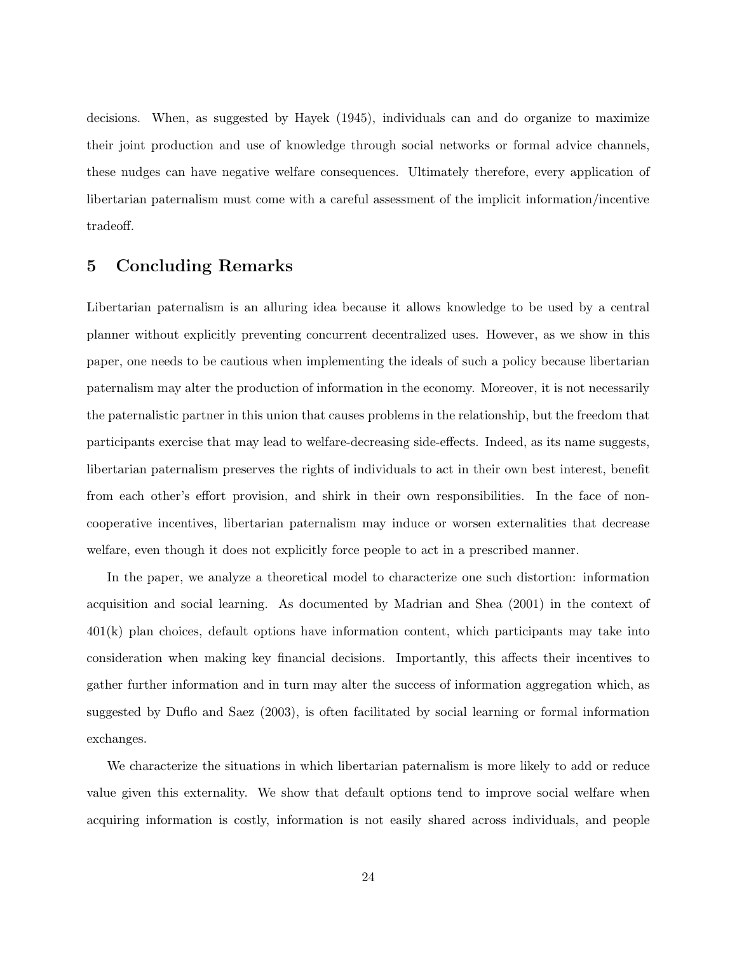decisions. When, as suggested by Hayek (1945), individuals can and do organize to maximize their joint production and use of knowledge through social networks or formal advice channels, these nudges can have negative welfare consequences. Ultimately therefore, every application of libertarian paternalism must come with a careful assessment of the implicit information/incentive tradeoff.

# 5 Concluding Remarks

Libertarian paternalism is an alluring idea because it allows knowledge to be used by a central planner without explicitly preventing concurrent decentralized uses. However, as we show in this paper, one needs to be cautious when implementing the ideals of such a policy because libertarian paternalism may alter the production of information in the economy. Moreover, it is not necessarily the paternalistic partner in this union that causes problems in the relationship, but the freedom that participants exercise that may lead to welfare-decreasing side-effects. Indeed, as its name suggests, libertarian paternalism preserves the rights of individuals to act in their own best interest, benefit from each other's effort provision, and shirk in their own responsibilities. In the face of noncooperative incentives, libertarian paternalism may induce or worsen externalities that decrease welfare, even though it does not explicitly force people to act in a prescribed manner.

In the paper, we analyze a theoretical model to characterize one such distortion: information acquisition and social learning. As documented by Madrian and Shea (2001) in the context of 401(k) plan choices, default options have information content, which participants may take into consideration when making key financial decisions. Importantly, this affects their incentives to gather further information and in turn may alter the success of information aggregation which, as suggested by Duflo and Saez (2003), is often facilitated by social learning or formal information exchanges.

We characterize the situations in which libertarian paternalism is more likely to add or reduce value given this externality. We show that default options tend to improve social welfare when acquiring information is costly, information is not easily shared across individuals, and people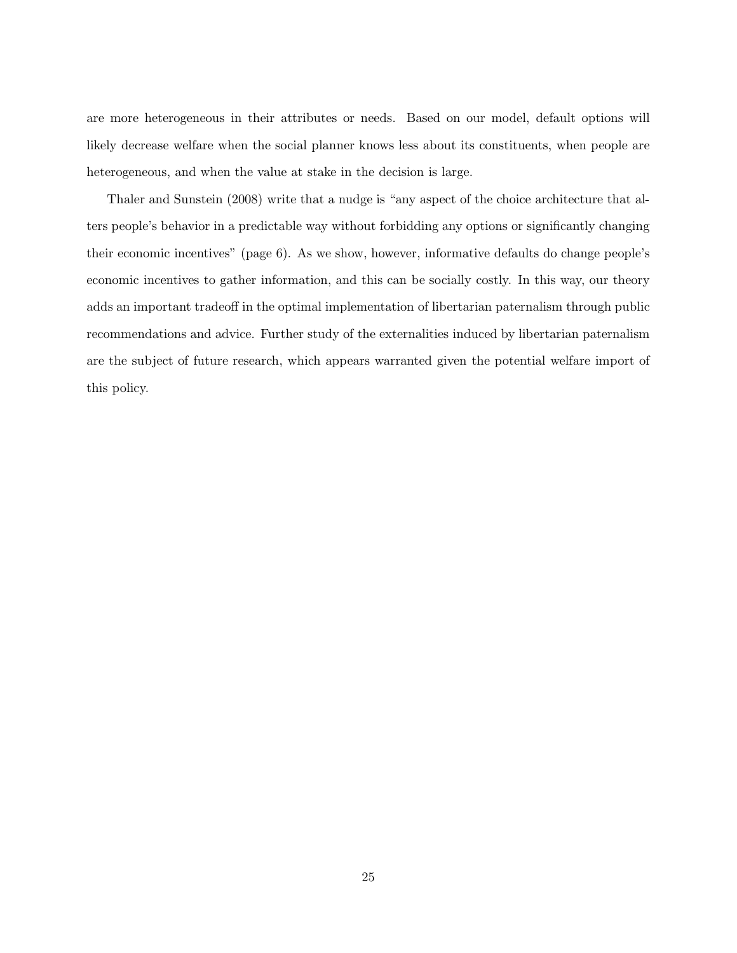are more heterogeneous in their attributes or needs. Based on our model, default options will likely decrease welfare when the social planner knows less about its constituents, when people are heterogeneous, and when the value at stake in the decision is large.

Thaler and Sunstein (2008) write that a nudge is "any aspect of the choice architecture that alters people's behavior in a predictable way without forbidding any options or significantly changing their economic incentives" (page 6). As we show, however, informative defaults do change people's economic incentives to gather information, and this can be socially costly. In this way, our theory adds an important tradeoff in the optimal implementation of libertarian paternalism through public recommendations and advice. Further study of the externalities induced by libertarian paternalism are the subject of future research, which appears warranted given the potential welfare import of this policy.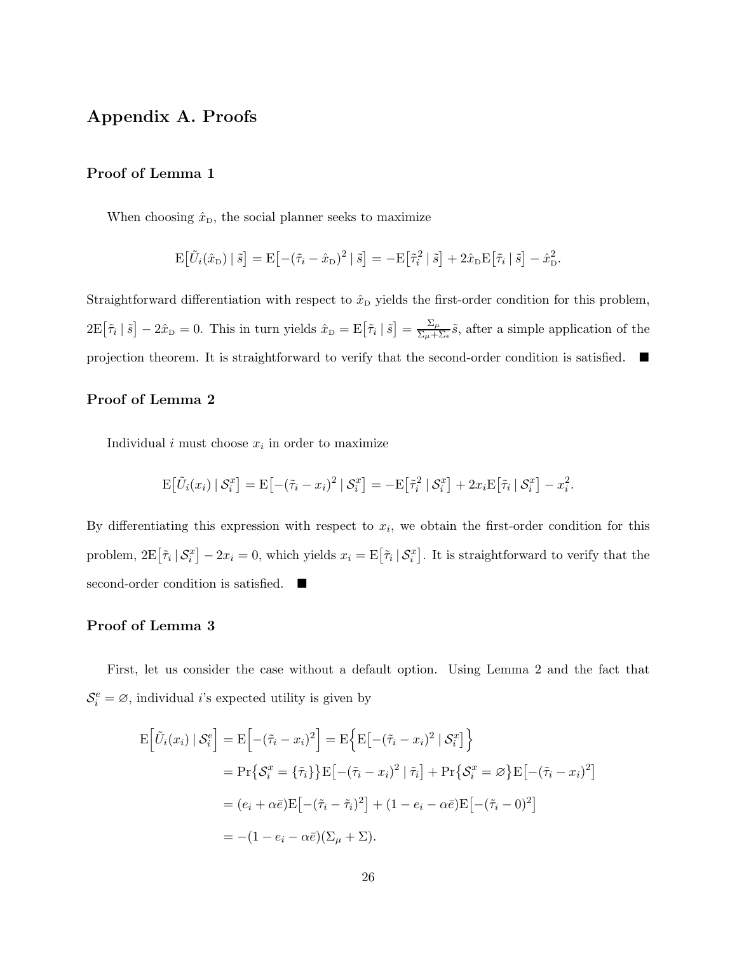# Appendix A. Proofs

### Proof of Lemma 1

When choosing  $\hat{x}_{\text{D}}$ , the social planner seeks to maximize

$$
E[\tilde{U}_i(\hat{x}_D) | \tilde{s}] = E[-(\tilde{\tau}_i - \hat{x}_D)^2 | \tilde{s}] = -E[\tilde{\tau}_i^2 | \tilde{s}] + 2\hat{x}_D E[\tilde{\tau}_i | \tilde{s}] - \hat{x}_D^2.
$$

Straightforward differentiation with respect to  $\hat{x}_{\text{D}}$  yields the first-order condition for this problem,  $2\mathbf{E}[\tilde{\tau}_i | \tilde{s}] - 2\hat{x}_{\text{D}} = 0$ . This in turn yields  $\hat{x}_{\text{D}} = \mathbf{E}[\tilde{\tau}_i | \tilde{s}] = \frac{\Sigma_{\mu}}{\Sigma_{\mu} + \Sigma_{\mu}}$  $\frac{2\mu}{\Sigma_{\mu}+\Sigma_{\epsilon}}\tilde{s}$ , after a simple application of the projection theorem. It is straightforward to verify that the second-order condition is satisfied.  $\blacksquare$ 

# Proof of Lemma 2

Individual  $i$  must choose  $x_i$  in order to maximize

$$
\mathbf{E}\big[\tilde{U}_i(x_i) \mid \mathcal{S}_i^x\big] = \mathbf{E}\big[-(\tilde{\tau}_i - x_i)^2 \mid \mathcal{S}_i^x\big] = -\mathbf{E}\big[\tilde{\tau}_i^2 \mid \mathcal{S}_i^x\big] + 2x_i \mathbf{E}\big[\tilde{\tau}_i \mid \mathcal{S}_i^x\big] - x_i^2.
$$

By differentiating this expression with respect to  $x_i$ , we obtain the first-order condition for this problem,  $2E[\tilde{\tau}_i | \mathcal{S}_i^x] - 2x_i = 0$ , which yields  $x_i = E[\tilde{\tau}_i | \mathcal{S}_i^x]$ . It is straightforward to verify that the second-order condition is satisfied.  $\blacksquare$ 

### Proof of Lemma 3

First, let us consider the case without a default option. Using Lemma 2 and the fact that  $\mathcal{S}_i^e = \emptyset$ , individual *i*'s expected utility is given by

$$
\begin{aligned} \mathcal{E}\Big[\tilde{U}_i(x_i) \mid \mathcal{S}_i^e\Big] &= \mathcal{E}\Big[-(\tilde{\tau}_i - x_i)^2\Big] = \mathcal{E}\Big\{\mathcal{E}\big[-(\tilde{\tau}_i - x_i)^2 \mid \mathcal{S}_i^x\big]\Big\} \\ &= \Pr\big\{\mathcal{S}_i^x = \{\tilde{\tau}_i\}\big\}\mathcal{E}\big[-(\tilde{\tau}_i - x_i)^2 \mid \tilde{\tau}_i\big] + \Pr\big\{\mathcal{S}_i^x = \varnothing\}\mathcal{E}\big[-(\tilde{\tau}_i - x_i)^2\big] \\ &= (e_i + \alpha\bar{e})\mathcal{E}\big[-(\tilde{\tau}_i - \tilde{\tau}_i)^2\big] + (1 - e_i - \alpha\bar{e})\mathcal{E}\big[-(\tilde{\tau}_i - 0)^2\big] \\ &= -(1 - e_i - \alpha\bar{e})(\Sigma_\mu + \Sigma). \end{aligned}
$$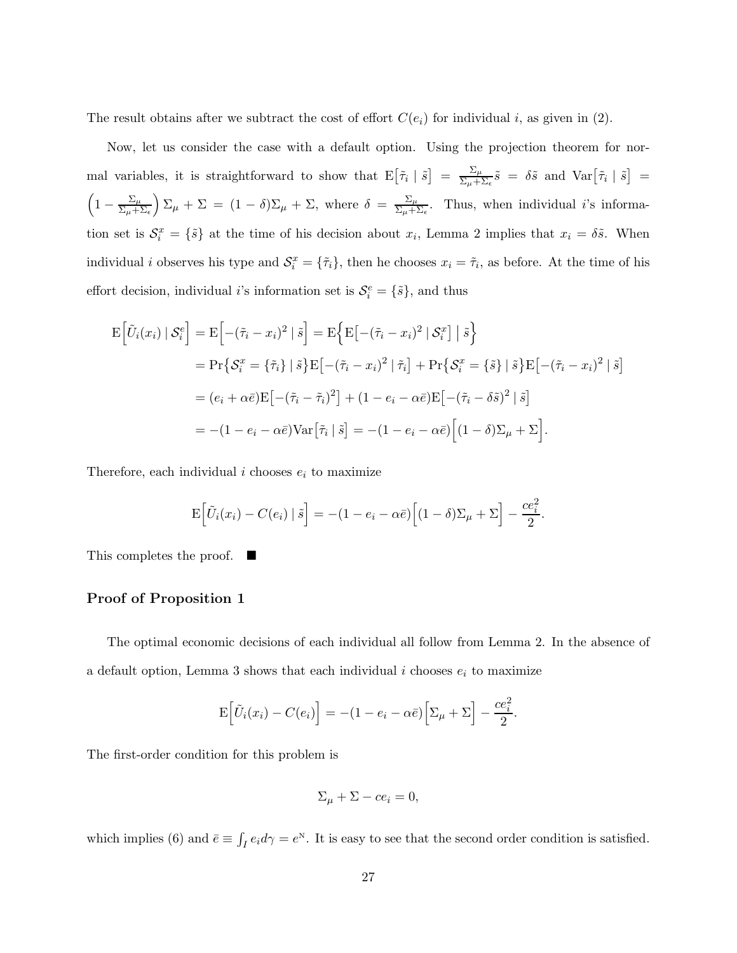The result obtains after we subtract the cost of effort  $C(e_i)$  for individual i, as given in (2).

Now, let us consider the case with a default option. Using the projection theorem for normal variables, it is straightforward to show that  $E[\tilde{\tau}_i | \tilde{s}] = \frac{\Sigma_{\mu}}{\Sigma_{\mu} + \Sigma_{\mu}}$  $\frac{\Sigma_{\mu}}{\Sigma_{\mu}+\Sigma_{\epsilon}}\tilde{s} = \delta\tilde{s} \text{ and } \text{Var}\big[\tilde{\tau}_i \mid \tilde{s}\big] =$  $\left(1-\frac{\Sigma_{\mu}}{\Sigma_{\mu}+1}\right)$  $\Sigma_{\mu}+\Sigma_{\epsilon}$  $\sum_{\mu}$  +  $\Sigma = (1 - \delta)\Sigma_{\mu} + \Sigma$ , where  $\delta = \frac{\Sigma_{\mu}}{\Sigma_{\mu} + \Sigma_{\mu}}$  $\frac{\Sigma_{\mu}}{\Sigma_{\mu}+\Sigma_{\epsilon}}$ . Thus, when individual *i*'s information set is  $S_i^x = \{\tilde{s}\}\$ at the time of his decision about  $x_i$ , Lemma 2 implies that  $x_i = \delta \tilde{s}$ . When individual *i* observes his type and  $S_i^x = {\tilde{\tau}_i}$ , then he chooses  $x_i = \tilde{\tau}_i$ , as before. At the time of his effort decision, individual *i*'s information set is  $S_i^e = \{\tilde{s}\}\$ , and thus

$$
\begin{split} \mathcal{E}\Big[\tilde{U}_{i}(x_{i})\,|\,\mathcal{S}_{i}^{e}\Big] &= \mathcal{E}\Big[-\left(\tilde{\tau}_{i}-x_{i}\right)^{2}\,|\,\tilde{s}\Big] = \mathcal{E}\Big\{\mathcal{E}\big[-\left(\tilde{\tau}_{i}-x_{i}\right)^{2}\,|\,\mathcal{S}_{i}^{x}\big]\,\big|\,\tilde{s}\Big\} \\ &= \Pr\big\{\mathcal{S}_{i}^{x} = \{\tilde{\tau}_{i}\}\,\big|\,\tilde{s}\big\}\mathcal{E}\big[-\left(\tilde{\tau}_{i}-x_{i}\right)^{2}\,|\,\tilde{\tau}_{i}\big] + \Pr\big\{\mathcal{S}_{i}^{x} = \{\tilde{s}\}\,\big|\,\tilde{s}\big\}\mathcal{E}\big[-\left(\tilde{\tau}_{i}-x_{i}\right)^{2}\,|\,\tilde{s}\big] \\ &= (e_{i} + \alpha\bar{e})\mathcal{E}\big[-\left(\tilde{\tau}_{i}-\tilde{\tau}_{i}\right)^{2}\big] + (1 - e_{i} - \alpha\bar{e})\mathcal{E}\big[-\left(\tilde{\tau}_{i}-\delta\tilde{s}\right)^{2}\,|\,\tilde{s}\big] \\ &= -(1 - e_{i} - \alpha\bar{e})\text{Var}\big[\tilde{\tau}_{i}\,\big|\,\tilde{s}\big] = -(1 - e_{i} - \alpha\bar{e})\big[(1 - \delta)\Sigma_{\mu} + \Sigma\big]. \end{split}
$$

Therefore, each individual i chooses  $e_i$  to maximize

$$
\mathbf{E}\Big[\tilde{U}_i(x_i) - C(e_i) \mid \tilde{s}\Big] = -(1 - e_i - \alpha \bar{e})\Big[(1 - \delta)\Sigma_\mu + \Sigma\Big] - \frac{ce_i^2}{2}.
$$

This completes the proof. ■

### Proof of Proposition 1

The optimal economic decisions of each individual all follow from Lemma 2. In the absence of a default option, Lemma 3 shows that each individual  $i$  chooses  $e_i$  to maximize

$$
E\left[\tilde{U}_i(x_i) - C(e_i)\right] = -(1 - e_i - \alpha \bar{e})\left[\Sigma_\mu + \Sigma\right] - \frac{ce_i^2}{2}.
$$

The first-order condition for this problem is

$$
\Sigma_{\mu} + \Sigma - ce_i = 0,
$$

which implies (6) and  $\bar{e} \equiv \int_I e_i d\gamma = e^N$ . It is easy to see that the second order condition is satisfied.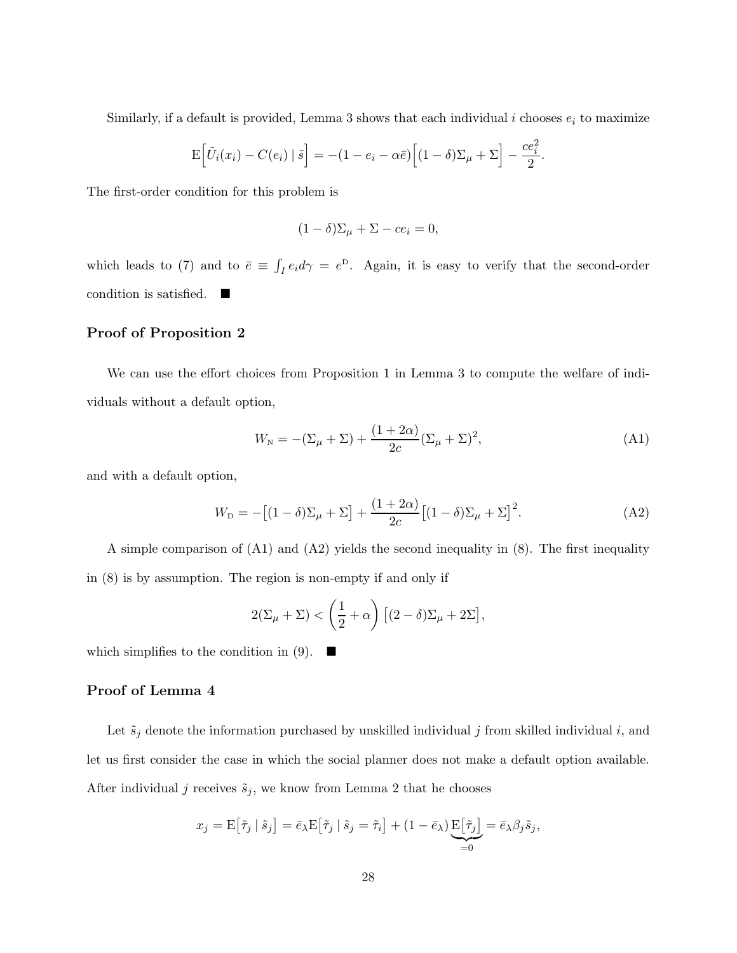Similarly, if a default is provided, Lemma 3 shows that each individual  $i$  chooses  $e_i$  to maximize

$$
\mathcal{E}\left[\tilde{U}_i(x_i) - C(e_i) | \tilde{s}\right] = -(1 - e_i - \alpha \bar{e})\left[(1 - \delta)\Sigma_\mu + \Sigma\right] - \frac{ce_i^2}{2}
$$

The first-order condition for this problem is

$$
(1 - \delta)\Sigma_{\mu} + \Sigma - ce_i = 0,
$$

which leads to (7) and to  $\bar{e} \equiv \int_I e_i d\gamma = e^D$ . Again, it is easy to verify that the second-order condition is satisfied.  $\blacksquare$ 

### Proof of Proposition 2

We can use the effort choices from Proposition 1 in Lemma 3 to compute the welfare of individuals without a default option,

$$
W_{\rm N} = -(\Sigma_{\mu} + \Sigma) + \frac{(1+2\alpha)}{2c}(\Sigma_{\mu} + \Sigma)^2,
$$
\n(A1)

.

and with a default option,

$$
W_{\mathcal{D}} = -\left[ (1-\delta)\Sigma_{\mu} + \Sigma \right] + \frac{(1+2\alpha)}{2c} \left[ (1-\delta)\Sigma_{\mu} + \Sigma \right]^2. \tag{A2}
$$

A simple comparison of (A1) and (A2) yields the second inequality in (8). The first inequality in (8) is by assumption. The region is non-empty if and only if

$$
2(\Sigma_{\mu} + \Sigma) < \left(\frac{1}{2} + \alpha\right) \left[ (2 - \delta)\Sigma_{\mu} + 2\Sigma \right],
$$

which simplifies to the condition in  $(9)$ .

### Proof of Lemma 4

Let  $\tilde{s}_j$  denote the information purchased by unskilled individual j from skilled individual i, and let us first consider the case in which the social planner does not make a default option available. After individual j receives  $\tilde{s}_j$ , we know from Lemma 2 that he chooses

$$
x_j = \mathbf{E} \big[ \tilde{\tau}_j \mid \tilde{s}_j \big] = \bar{e}_{\lambda} \mathbf{E} \big[ \tilde{\tau}_j \mid \tilde{s}_j = \tilde{\tau}_i \big] + (1 - \bar{e}_{\lambda}) \underbrace{\mathbf{E} \big[ \tilde{\tau}_j \big]}_{=0} = \bar{e}_{\lambda} \beta_j \tilde{s}_j,
$$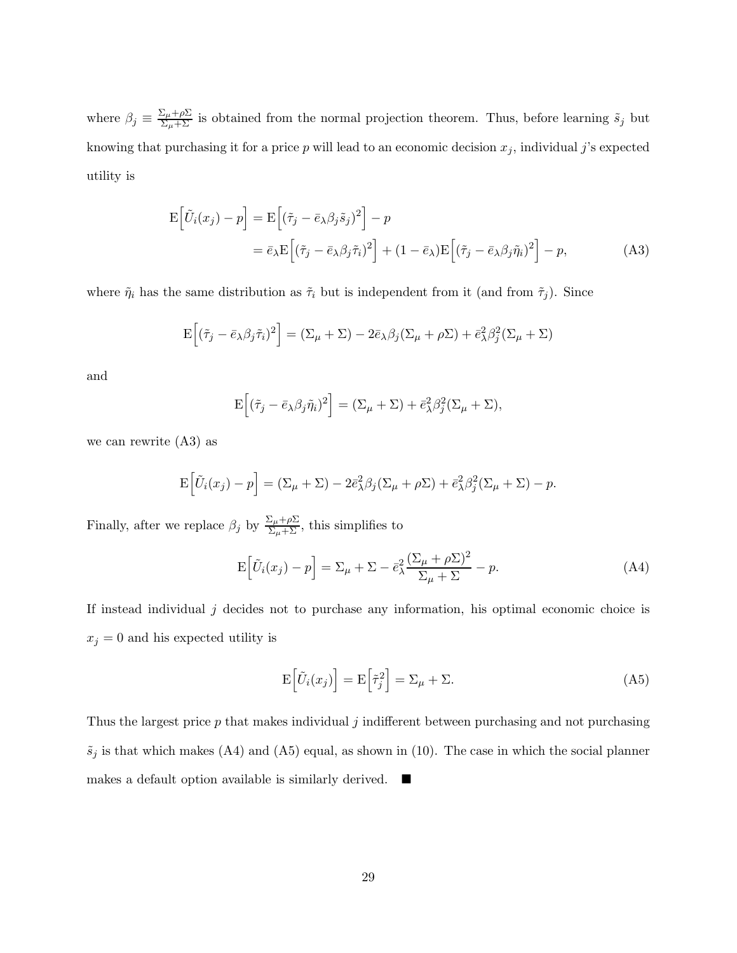where  $\beta_j \equiv \frac{\sum_{\mu} + \rho \sum_{\mu} + \sum_{\nu} }{\sum_{\mu} + \sum_{\nu} }$  is obtained from the normal projection theorem. Thus, before learning  $\tilde{s}_j$  but knowing that purchasing it for a price p will lead to an economic decision  $x_j$ , individual j's expected utility is

$$
\mathcal{E}\left[\tilde{U}_{i}(x_{j}) - p\right] = \mathcal{E}\left[\left(\tilde{\tau}_{j} - \bar{e}_{\lambda}\beta_{j}\tilde{s}_{j}\right)^{2}\right] - p
$$
\n
$$
= \bar{e}_{\lambda}\mathcal{E}\left[\left(\tilde{\tau}_{j} - \bar{e}_{\lambda}\beta_{j}\tilde{\tau}_{i}\right)^{2}\right] + (1 - \bar{e}_{\lambda})\mathcal{E}\left[\left(\tilde{\tau}_{j} - \bar{e}_{\lambda}\beta_{j}\tilde{\eta}_{i}\right)^{2}\right] - p,
$$
\n(A3)

where  $\tilde{\eta}_i$  has the same distribution as  $\tilde{\tau}_i$  but is independent from it (and from  $\tilde{\tau}_j$ ). Since

$$
\mathbf{E}\Big[(\tilde{\tau}_j - \bar{e}_{\lambda}\beta_j\tilde{\tau}_i)^2\Big] = (\Sigma_{\mu} + \Sigma) - 2\bar{e}_{\lambda}\beta_j(\Sigma_{\mu} + \rho\Sigma) + \bar{e}_{\lambda}^2\beta_j^2(\Sigma_{\mu} + \Sigma)
$$

and

$$
E[(\tilde{\tau}_j - \bar{e}_{\lambda} \beta_j \tilde{\eta}_i)^2] = (\Sigma_{\mu} + \Sigma) + \bar{e}_{\lambda}^2 \beta_j^2 (\Sigma_{\mu} + \Sigma),
$$

we can rewrite (A3) as

$$
E\Big[\tilde{U}_i(x_j)-p\Big]=(\Sigma_\mu+\Sigma)-2\bar{e}^2_\lambda\beta_j(\Sigma_\mu+\rho\Sigma)+\bar{e}^2_\lambda\beta_j^2(\Sigma_\mu+\Sigma)-p.
$$

Finally, after we replace  $\beta_j$  by  $\frac{\Sigma_{\mu} + \rho \Sigma}{\Sigma_{\mu} + \Sigma}$ , this simplifies to

$$
\mathcal{E}\left[\tilde{U}_i(x_j) - p\right] = \Sigma_{\mu} + \Sigma - \bar{e}_{\lambda}^2 \frac{(\Sigma_{\mu} + \rho \Sigma)^2}{\Sigma_{\mu} + \Sigma} - p.
$$
 (A4)

If instead individual  $j$  decides not to purchase any information, his optimal economic choice is  $x_j = 0$  and his expected utility is

$$
E\left[\tilde{U}_i(x_j)\right] = E\left[\tilde{\tau}_j^2\right] = \Sigma_\mu + \Sigma.
$$
\n(A5)

Thus the largest price  $p$  that makes individual  $j$  indifferent between purchasing and not purchasing  $\tilde{s}_j$  is that which makes (A4) and (A5) equal, as shown in (10). The case in which the social planner makes a default option available is similarly derived.  $\blacksquare$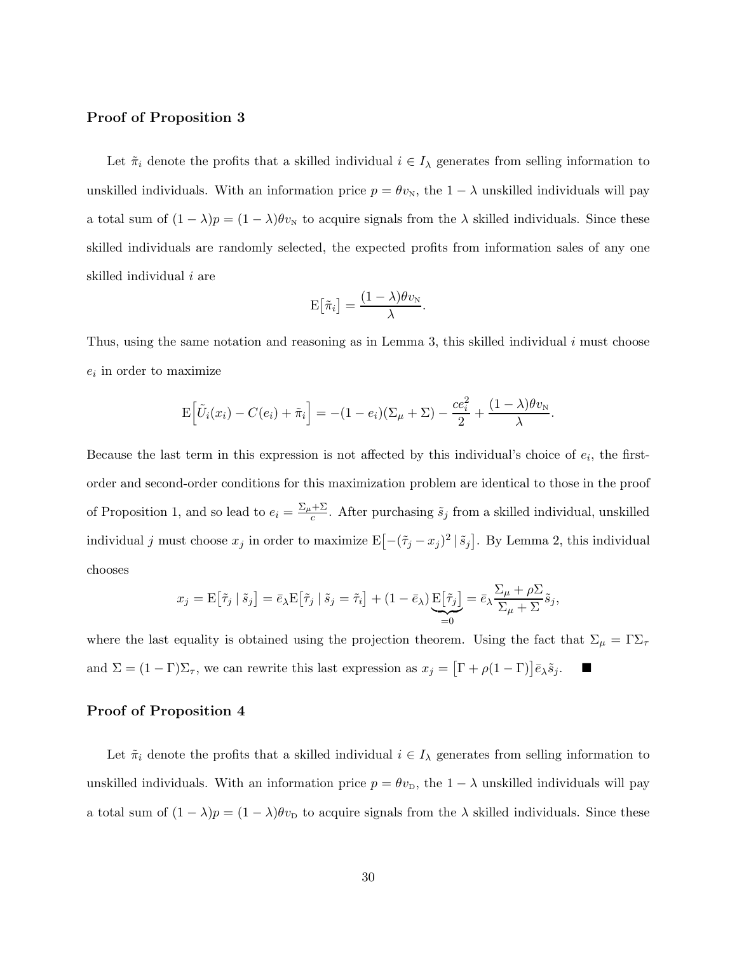## Proof of Proposition 3

Let  $\tilde{\pi}_i$  denote the profits that a skilled individual  $i \in I_\lambda$  generates from selling information to unskilled individuals. With an information price  $p = \theta v_N$ , the  $1 - \lambda$  unskilled individuals will pay a total sum of  $(1 - \lambda)p = (1 - \lambda)\theta v_N$  to acquire signals from the  $\lambda$  skilled individuals. Since these skilled individuals are randomly selected, the expected profits from information sales of any one skilled individual i are

$$
E\big[\tilde{\pi}_i\big] = \frac{(1-\lambda)\theta v_N}{\lambda}.
$$

Thus, using the same notation and reasoning as in Lemma 3, this skilled individual i must choose  $e_i$  in order to maximize

$$
\mathbb{E}\Big[\tilde{U}_i(x_i)-C(e_i)+\tilde{\pi}_i\Big] = -(1-e_i)(\Sigma_{\mu}+\Sigma)-\frac{ce_i^2}{2}+\frac{(1-\lambda)\theta v_{\rm N}}{\lambda}.
$$

Because the last term in this expression is not affected by this individual's choice of  $e_i$ , the firstorder and second-order conditions for this maximization problem are identical to those in the proof of Proposition 1, and so lead to  $e_i = \frac{\sum_{\mu} + \sum_{\mu} }{c_i}$  $\frac{+2}{c}$ . After purchasing  $\tilde{s}_j$  from a skilled individual, unskilled individual j must choose  $x_j$  in order to maximize  $\mathbb{E}\big[-(\tilde{\tau}_j - x_j)^2 \,|\, \tilde{s}_j\big]$ . By Lemma 2, this individual chooses

$$
x_j = \mathbb{E}\big[\tilde{\tau}_j \mid \tilde{s}_j\big] = \bar{e}_{\lambda} \mathbb{E}\big[\tilde{\tau}_j \mid \tilde{s}_j = \tilde{\tau}_i\big] + (1 - \bar{e}_{\lambda}) \underbrace{\mathbb{E}\big[\tilde{\tau}_j\big]}_{=0} = \bar{e}_{\lambda} \frac{\Sigma_{\mu} + \rho \Sigma}{\Sigma_{\mu} + \Sigma} \tilde{s}_j,
$$

where the last equality is obtained using the projection theorem. Using the fact that  $\Sigma_{\mu} = \Gamma \Sigma_{\tau}$ and  $\Sigma = (1 - \Gamma) \Sigma_{\tau}$ , we can rewrite this last expression as  $x_j = [\Gamma + \rho(1 - \Gamma)] \bar{e}_{\lambda} \tilde{s}_j$ .

### Proof of Proposition 4

Let  $\tilde{\pi}_i$  denote the profits that a skilled individual  $i \in I_\lambda$  generates from selling information to unskilled individuals. With an information price  $p = \theta v_{\text{D}}$ , the  $1 - \lambda$  unskilled individuals will pay a total sum of  $(1 - \lambda)p = (1 - \lambda)\theta v_{\text{D}}$  to acquire signals from the  $\lambda$  skilled individuals. Since these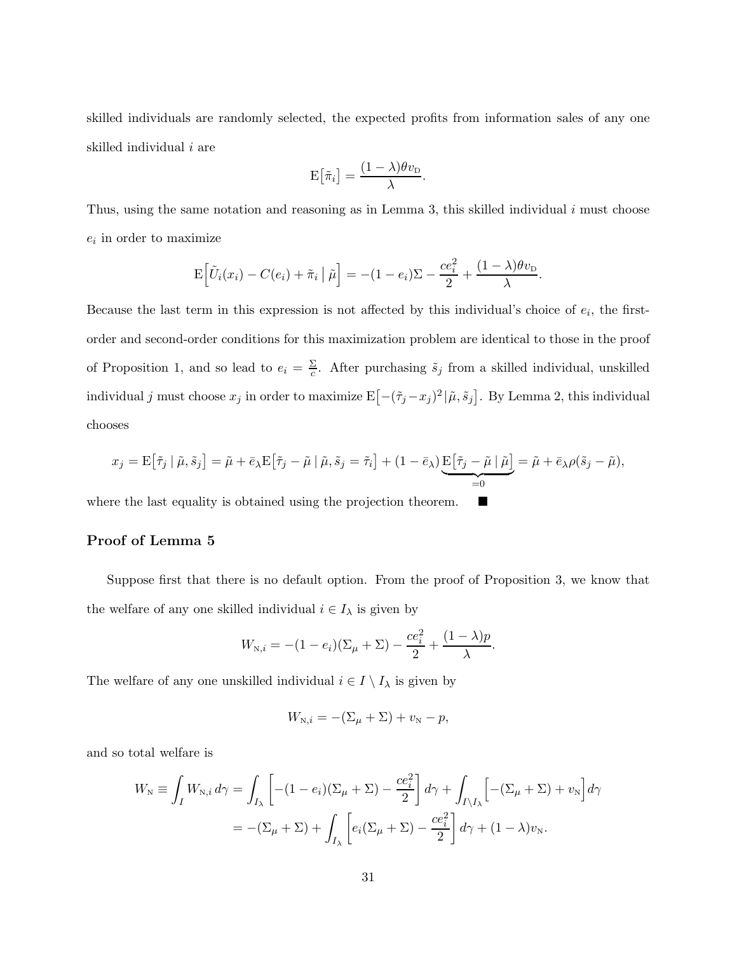skilled individuals are randomly selected, the expected profits from information sales of any one skilled individual i are

$$
E[\tilde{\pi}_i] = \frac{(1-\lambda)\theta v_D}{\lambda}.
$$

Thus, using the same notation and reasoning as in Lemma 3, this skilled individual i must choose  $e_i$  in order to maximize

$$
E\left[\tilde{U}_i(x_i) - C(e_i) + \tilde{\pi}_i \mid \tilde{\mu}\right] = -(1 - e_i)\Sigma - \frac{ce_i^2}{2} + \frac{(1 - \lambda)\theta v_{\text{D}}}{\lambda}.
$$

Because the last term in this expression is not affected by this individual's choice of  $e_i$ , the firstorder and second-order conditions for this maximization problem are identical to those in the proof of Proposition 1, and so lead to  $e_i = \frac{\Sigma}{c}$ . After purchasing  $\tilde{s}_j$  from a skilled individual, unskilled individual j must choose  $x_j$  in order to maximize  $\mathbb{E}\big[-(\tilde{\tau}_j - x_j)^2\vert\tilde{\mu}, \tilde{s}_j\big]$ . By Lemma 2, this individual chooses

$$
x_j = \mathbb{E}\big[\tilde{\tau}_j \mid \tilde{\mu}, \tilde{s}_j\big] = \tilde{\mu} + \bar{e}_{\lambda} \mathbb{E}\big[\tilde{\tau}_j - \tilde{\mu} \mid \tilde{\mu}, \tilde{s}_j = \tilde{\tau}_i\big] + (1 - \bar{e}_{\lambda}) \underbrace{\mathbb{E}\big[\tilde{\tau}_j - \tilde{\mu} \mid \tilde{\mu}\big]}_{=0} = \tilde{\mu} + \bar{e}_{\lambda} \rho(\tilde{s}_j - \tilde{\mu}),
$$

where the last equality is obtained using the projection theorem.  $\blacksquare$ 

### Proof of Lemma 5

Suppose first that there is no default option. From the proof of Proposition 3, we know that the welfare of any one skilled individual  $i \in I_\lambda$  is given by

$$
W_{N,i} = -(1 - e_i)(\Sigma_{\mu} + \Sigma) - \frac{ce_i^2}{2} + \frac{(1 - \lambda)p}{\lambda}.
$$

The welfare of any one unskilled individual  $i \in I \setminus I_\lambda$  is given by

$$
W_{N,i} = -(\Sigma_{\mu} + \Sigma) + v_N - p,
$$

and so total welfare is

$$
W_{\rm N} \equiv \int_I W_{\rm N,i} d\gamma = \int_{I_{\lambda}} \left[ -(1 - e_i)(\Sigma_{\mu} + \Sigma) - \frac{ce_i^2}{2} \right] d\gamma + \int_{I \setminus I_{\lambda}} \left[ -( \Sigma_{\mu} + \Sigma) + v_{\rm N} \right] d\gamma
$$
  
=  $-(\Sigma_{\mu} + \Sigma) + \int_{I_{\lambda}} \left[ e_i(\Sigma_{\mu} + \Sigma) - \frac{ce_i^2}{2} \right] d\gamma + (1 - \lambda)v_{\rm N}.$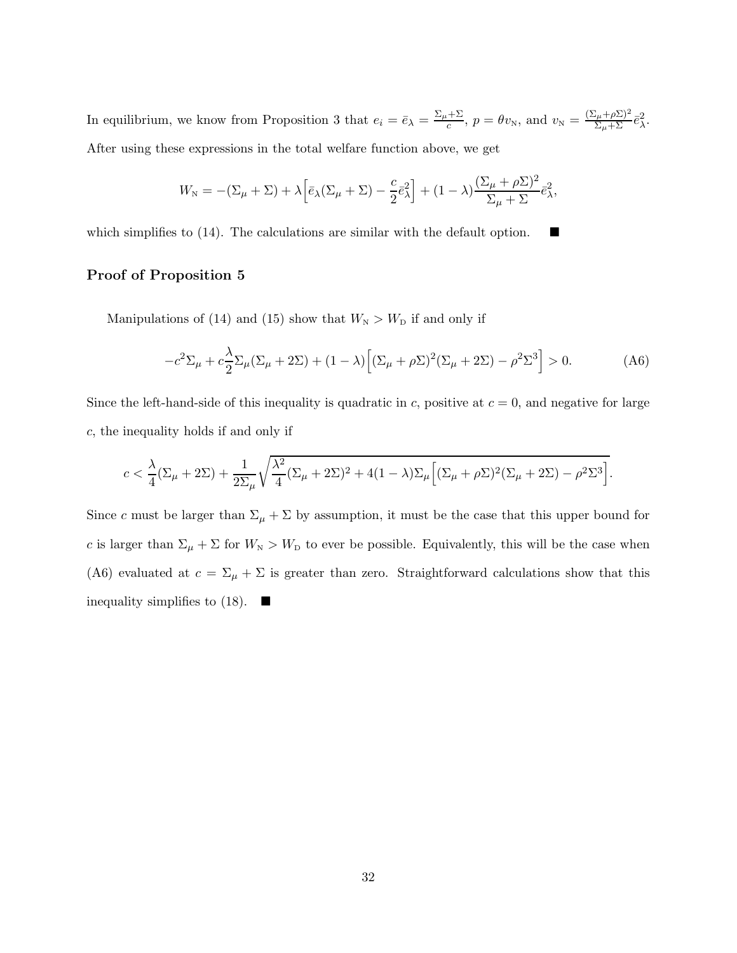In equilibrium, we know from Proposition 3 that  $e_i = \bar{e}_{\lambda} = \frac{\sum_{\mu} + \sum_{\mu} - \sum_{\mu} - \sum_{\mu} - \sum_{\mu} - \sum_{\mu} - \sum_{\mu} - \sum_{\mu} - \sum_{\mu} - \sum_{\mu} - \sum_{\mu} - \sum_{\mu} - \sum_{\mu} - \sum_{\mu} - \sum_{\mu} - \sum_{\mu} - \sum_{\mu} - \sum_{\mu} - \sum_{\mu} - \sum_{\mu} - \sum_{\mu} - \sum_{\mu} - \sum_{\$  $\frac{d+2}{c}, p = \theta v_N$ , and  $v_N = \frac{(\Sigma_\mu + \rho \Sigma)^2}{\Sigma_\mu + \Sigma} \bar{e}_\lambda^2$ . After using these expressions in the total welfare function above, we get

$$
W_{\rm N} = -(\Sigma_{\mu} + \Sigma) + \lambda \Big[ \bar{e}_{\lambda} (\Sigma_{\mu} + \Sigma) - \frac{c}{2} \bar{e}_{\lambda}^2 \Big] + (1 - \lambda) \frac{(\Sigma_{\mu} + \rho \Sigma)^2}{\Sigma_{\mu} + \Sigma} \bar{e}_{\lambda}^2,
$$

which simplifies to (14). The calculations are similar with the default option.  $\blacksquare$ 

# Proof of Proposition 5

Manipulations of (14) and (15) show that  $W_N > W_D$  if and only if

$$
-c^2 \Sigma_{\mu} + c \frac{\lambda}{2} \Sigma_{\mu} (\Sigma_{\mu} + 2\Sigma) + (1 - \lambda) \Big[ (\Sigma_{\mu} + \rho \Sigma)^2 (\Sigma_{\mu} + 2\Sigma) - \rho^2 \Sigma^3 \Big] > 0.
$$
 (A6)

Since the left-hand-side of this inequality is quadratic in c, positive at  $c = 0$ , and negative for large c, the inequality holds if and only if

$$
c<\frac{\lambda}{4}(\Sigma_{\mu}+2\Sigma)+\frac{1}{2\Sigma_{\mu}}\sqrt{\frac{\lambda^2}{4}(\Sigma_{\mu}+2\Sigma)^2+4(1-\lambda)\Sigma_{\mu}\Big[(\Sigma_{\mu}+\rho\Sigma)^2(\Sigma_{\mu}+2\Sigma)-\rho^2\Sigma^3\Big]}.
$$

Since c must be larger than  $\Sigma_{\mu} + \Sigma$  by assumption, it must be the case that this upper bound for c is larger than  $\Sigma_{\mu} + \Sigma$  for  $W_{\rm N} > W_{\rm D}$  to ever be possible. Equivalently, this will be the case when (A6) evaluated at  $c = \Sigma_{\mu} + \Sigma$  is greater than zero. Straightforward calculations show that this inequality simplifies to  $(18)$ .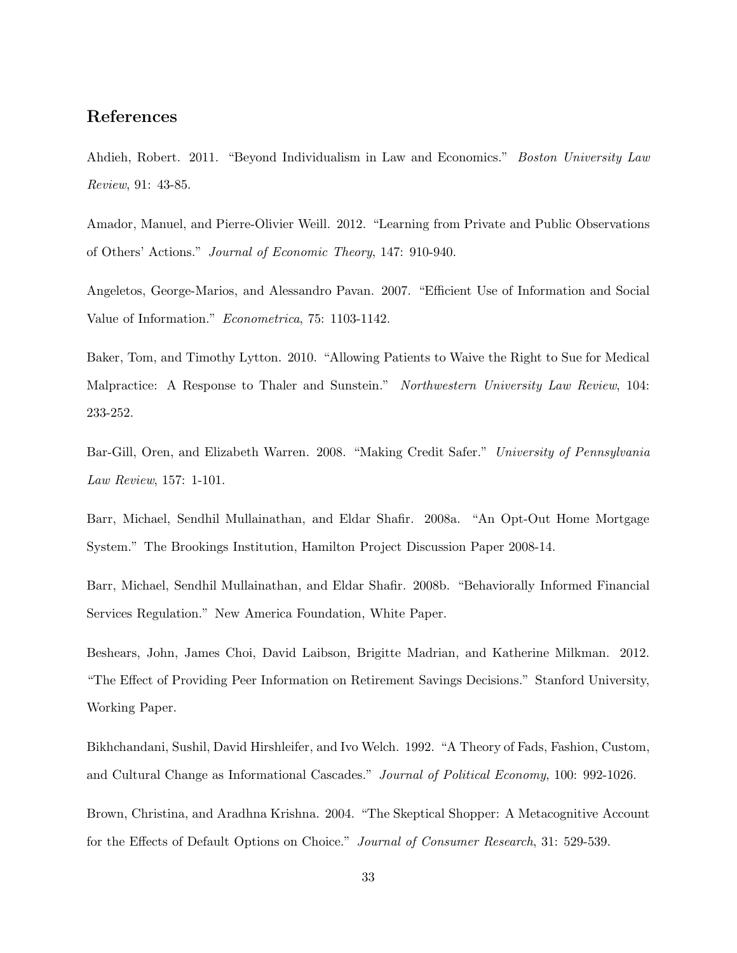# References

Ahdieh, Robert. 2011. "Beyond Individualism in Law and Economics." Boston University Law Review, 91: 43-85.

Amador, Manuel, and Pierre-Olivier Weill. 2012. "Learning from Private and Public Observations of Others' Actions." Journal of Economic Theory, 147: 910-940.

Angeletos, George-Marios, and Alessandro Pavan. 2007. "Efficient Use of Information and Social Value of Information." Econometrica, 75: 1103-1142.

Baker, Tom, and Timothy Lytton. 2010. "Allowing Patients to Waive the Right to Sue for Medical Malpractice: A Response to Thaler and Sunstein." Northwestern University Law Review, 104: 233-252.

Bar-Gill, Oren, and Elizabeth Warren. 2008. "Making Credit Safer." University of Pennsylvania Law Review, 157: 1-101.

Barr, Michael, Sendhil Mullainathan, and Eldar Shafir. 2008a. "An Opt-Out Home Mortgage System." The Brookings Institution, Hamilton Project Discussion Paper 2008-14.

Barr, Michael, Sendhil Mullainathan, and Eldar Shafir. 2008b. "Behaviorally Informed Financial Services Regulation." New America Foundation, White Paper.

Beshears, John, James Choi, David Laibson, Brigitte Madrian, and Katherine Milkman. 2012. "The Effect of Providing Peer Information on Retirement Savings Decisions." Stanford University, Working Paper.

Bikhchandani, Sushil, David Hirshleifer, and Ivo Welch. 1992. "A Theory of Fads, Fashion, Custom, and Cultural Change as Informational Cascades." Journal of Political Economy, 100: 992-1026.

Brown, Christina, and Aradhna Krishna. 2004. "The Skeptical Shopper: A Metacognitive Account for the Effects of Default Options on Choice." Journal of Consumer Research, 31: 529-539.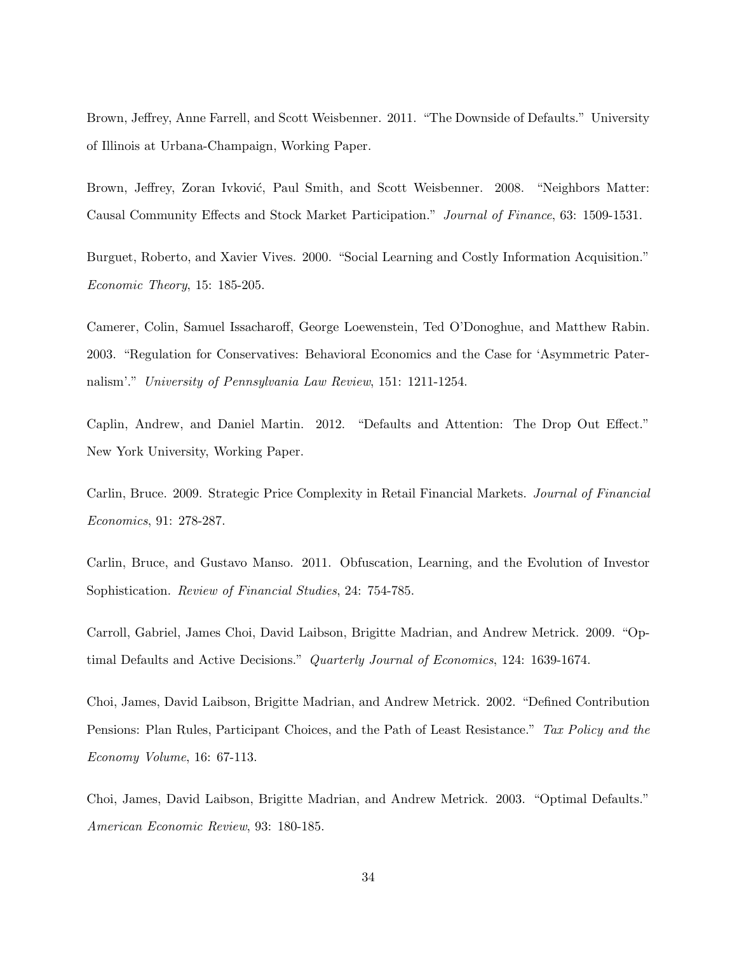Brown, Jeffrey, Anne Farrell, and Scott Weisbenner. 2011. "The Downside of Defaults." University of Illinois at Urbana-Champaign, Working Paper.

Brown, Jeffrey, Zoran Ivković, Paul Smith, and Scott Weisbenner. 2008. "Neighbors Matter: Causal Community Effects and Stock Market Participation." Journal of Finance, 63: 1509-1531.

Burguet, Roberto, and Xavier Vives. 2000. "Social Learning and Costly Information Acquisition." Economic Theory, 15: 185-205.

Camerer, Colin, Samuel Issacharoff, George Loewenstein, Ted O'Donoghue, and Matthew Rabin. 2003. "Regulation for Conservatives: Behavioral Economics and the Case for 'Asymmetric Paternalism'." University of Pennsylvania Law Review, 151: 1211-1254.

Caplin, Andrew, and Daniel Martin. 2012. "Defaults and Attention: The Drop Out Effect." New York University, Working Paper.

Carlin, Bruce. 2009. Strategic Price Complexity in Retail Financial Markets. Journal of Financial Economics, 91: 278-287.

Carlin, Bruce, and Gustavo Manso. 2011. Obfuscation, Learning, and the Evolution of Investor Sophistication. Review of Financial Studies, 24: 754-785.

Carroll, Gabriel, James Choi, David Laibson, Brigitte Madrian, and Andrew Metrick. 2009. "Optimal Defaults and Active Decisions." Quarterly Journal of Economics, 124: 1639-1674.

Choi, James, David Laibson, Brigitte Madrian, and Andrew Metrick. 2002. "Defined Contribution Pensions: Plan Rules, Participant Choices, and the Path of Least Resistance." Tax Policy and the Economy Volume, 16: 67-113.

Choi, James, David Laibson, Brigitte Madrian, and Andrew Metrick. 2003. "Optimal Defaults." American Economic Review, 93: 180-185.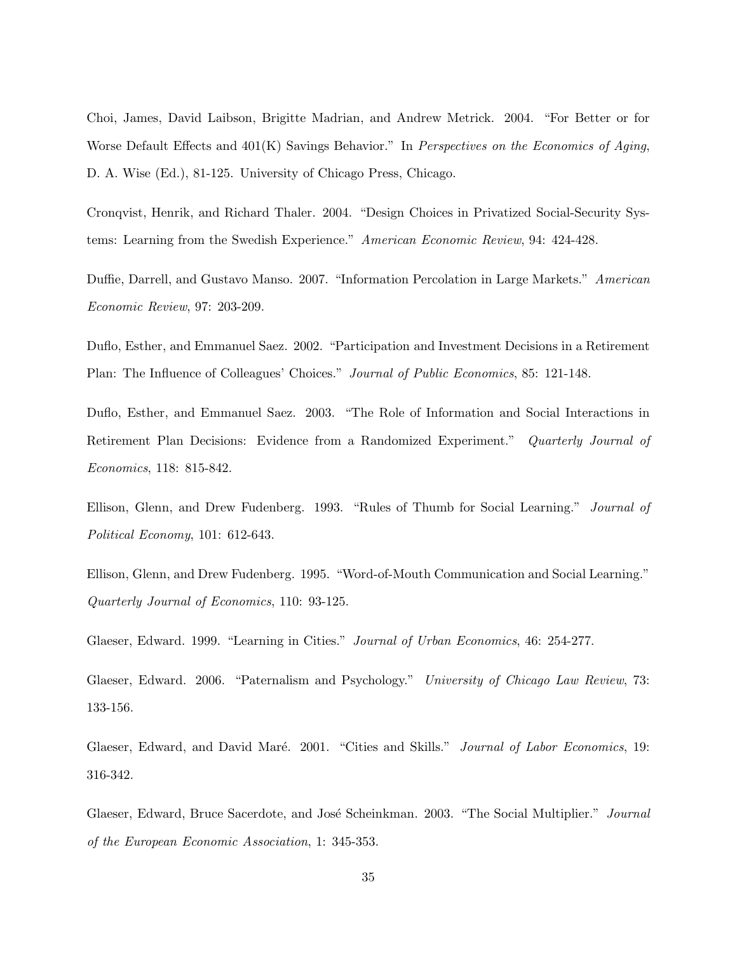Choi, James, David Laibson, Brigitte Madrian, and Andrew Metrick. 2004. "For Better or for Worse Default Effects and  $401(K)$  Savings Behavior." In Perspectives on the Economics of Aging, D. A. Wise (Ed.), 81-125. University of Chicago Press, Chicago.

Cronqvist, Henrik, and Richard Thaler. 2004. "Design Choices in Privatized Social-Security Systems: Learning from the Swedish Experience." American Economic Review, 94: 424-428.

Duffie, Darrell, and Gustavo Manso. 2007. "Information Percolation in Large Markets." American Economic Review, 97: 203-209.

Duflo, Esther, and Emmanuel Saez. 2002. "Participation and Investment Decisions in a Retirement Plan: The Influence of Colleagues' Choices." Journal of Public Economics, 85: 121-148.

Duflo, Esther, and Emmanuel Saez. 2003. "The Role of Information and Social Interactions in Retirement Plan Decisions: Evidence from a Randomized Experiment." Quarterly Journal of Economics, 118: 815-842.

Ellison, Glenn, and Drew Fudenberg. 1993. "Rules of Thumb for Social Learning." Journal of Political Economy, 101: 612-643.

Ellison, Glenn, and Drew Fudenberg. 1995. "Word-of-Mouth Communication and Social Learning." Quarterly Journal of Economics, 110: 93-125.

Glaeser, Edward. 1999. "Learning in Cities." Journal of Urban Economics, 46: 254-277.

Glaeser, Edward. 2006. "Paternalism and Psychology." University of Chicago Law Review, 73: 133-156.

Glaeser, Edward, and David Maré. 2001. "Cities and Skills." Journal of Labor Economics, 19: 316-342.

Glaeser, Edward, Bruce Sacerdote, and José Scheinkman. 2003. "The Social Multiplier." Journal of the European Economic Association, 1: 345-353.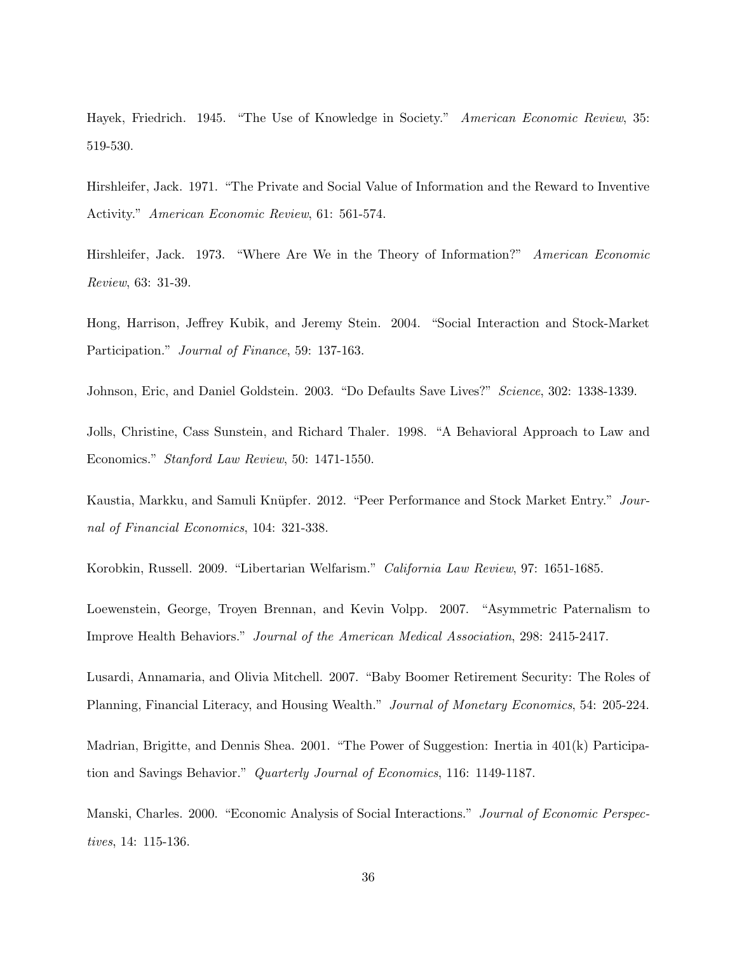Hayek, Friedrich. 1945. "The Use of Knowledge in Society." American Economic Review, 35: 519-530.

Hirshleifer, Jack. 1971. "The Private and Social Value of Information and the Reward to Inventive Activity." American Economic Review, 61: 561-574.

Hirshleifer, Jack. 1973. "Where Are We in the Theory of Information?" American Economic Review, 63: 31-39.

Hong, Harrison, Jeffrey Kubik, and Jeremy Stein. 2004. "Social Interaction and Stock-Market Participation." Journal of Finance, 59: 137-163.

Johnson, Eric, and Daniel Goldstein. 2003. "Do Defaults Save Lives?" Science, 302: 1338-1339.

Jolls, Christine, Cass Sunstein, and Richard Thaler. 1998. "A Behavioral Approach to Law and Economics." Stanford Law Review, 50: 1471-1550.

Kaustia, Markku, and Samuli Knüpfer. 2012. "Peer Performance and Stock Market Entry." Journal of Financial Economics, 104: 321-338.

Korobkin, Russell. 2009. "Libertarian Welfarism." California Law Review, 97: 1651-1685.

Loewenstein, George, Troyen Brennan, and Kevin Volpp. 2007. "Asymmetric Paternalism to Improve Health Behaviors." Journal of the American Medical Association, 298: 2415-2417.

Lusardi, Annamaria, and Olivia Mitchell. 2007. "Baby Boomer Retirement Security: The Roles of Planning, Financial Literacy, and Housing Wealth." Journal of Monetary Economics, 54: 205-224.

Madrian, Brigitte, and Dennis Shea. 2001. "The Power of Suggestion: Inertia in 401(k) Participation and Savings Behavior." Quarterly Journal of Economics, 116: 1149-1187.

Manski, Charles. 2000. "Economic Analysis of Social Interactions." Journal of Economic Perspectives, 14: 115-136.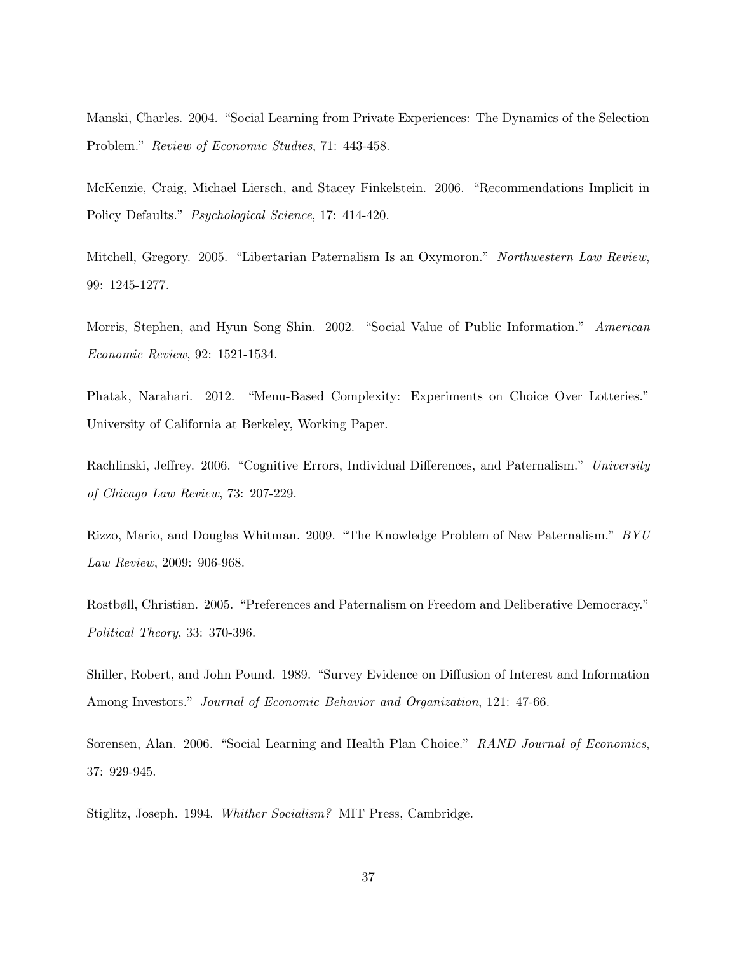Manski, Charles. 2004. "Social Learning from Private Experiences: The Dynamics of the Selection Problem." Review of Economic Studies, 71: 443-458.

McKenzie, Craig, Michael Liersch, and Stacey Finkelstein. 2006. "Recommendations Implicit in Policy Defaults." Psychological Science, 17: 414-420.

Mitchell, Gregory. 2005. "Libertarian Paternalism Is an Oxymoron." Northwestern Law Review, 99: 1245-1277.

Morris, Stephen, and Hyun Song Shin. 2002. "Social Value of Public Information." American Economic Review, 92: 1521-1534.

Phatak, Narahari. 2012. "Menu-Based Complexity: Experiments on Choice Over Lotteries." University of California at Berkeley, Working Paper.

Rachlinski, Jeffrey. 2006. "Cognitive Errors, Individual Differences, and Paternalism." University of Chicago Law Review, 73: 207-229.

Rizzo, Mario, and Douglas Whitman. 2009. "The Knowledge Problem of New Paternalism." BYU Law Review, 2009: 906-968.

Rostbøll, Christian. 2005. "Preferences and Paternalism on Freedom and Deliberative Democracy." Political Theory, 33: 370-396.

Shiller, Robert, and John Pound. 1989. "Survey Evidence on Diffusion of Interest and Information Among Investors." Journal of Economic Behavior and Organization, 121: 47-66.

Sorensen, Alan. 2006. "Social Learning and Health Plan Choice." RAND Journal of Economics, 37: 929-945.

Stiglitz, Joseph. 1994. Whither Socialism? MIT Press, Cambridge.